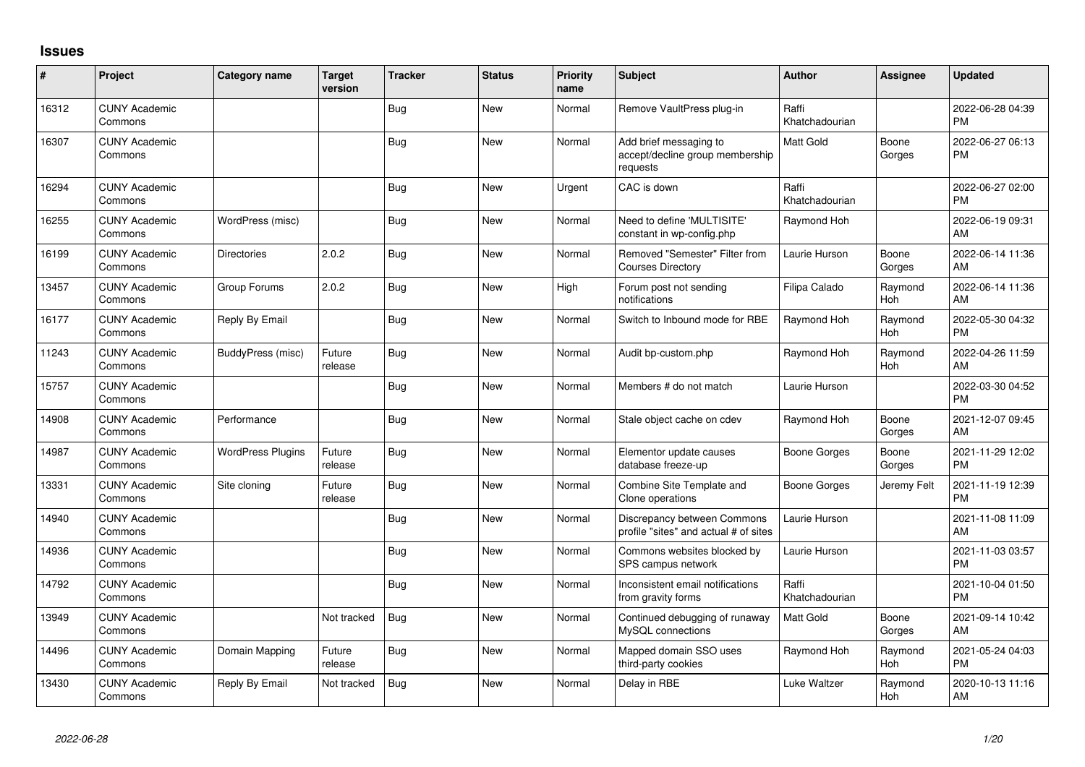## **Issues**

| ∦     | Project                         | Category name            | <b>Target</b><br>version | <b>Tracker</b> | <b>Status</b> | <b>Priority</b><br>name | <b>Subject</b>                                                        | <b>Author</b>           | <b>Assignee</b>       | <b>Updated</b>                |
|-------|---------------------------------|--------------------------|--------------------------|----------------|---------------|-------------------------|-----------------------------------------------------------------------|-------------------------|-----------------------|-------------------------------|
| 16312 | <b>CUNY Academic</b><br>Commons |                          |                          | Bug            | <b>New</b>    | Normal                  | Remove VaultPress plug-in                                             | Raffi<br>Khatchadourian |                       | 2022-06-28 04:39<br><b>PM</b> |
| 16307 | <b>CUNY Academic</b><br>Commons |                          |                          | <b>Bug</b>     | <b>New</b>    | Normal                  | Add brief messaging to<br>accept/decline group membership<br>requests | <b>Matt Gold</b>        | Boone<br>Gorges       | 2022-06-27 06:13<br><b>PM</b> |
| 16294 | <b>CUNY Academic</b><br>Commons |                          |                          | Bug            | <b>New</b>    | Urgent                  | CAC is down                                                           | Raffi<br>Khatchadourian |                       | 2022-06-27 02:00<br>PM        |
| 16255 | <b>CUNY Academic</b><br>Commons | WordPress (misc)         |                          | Bug            | New           | Normal                  | Need to define 'MULTISITE'<br>constant in wp-config.php               | Raymond Hoh             |                       | 2022-06-19 09:31<br>AM        |
| 16199 | <b>CUNY Academic</b><br>Commons | <b>Directories</b>       | 2.0.2                    | Bug            | <b>New</b>    | Normal                  | Removed "Semester" Filter from<br><b>Courses Directory</b>            | Laurie Hurson           | Boone<br>Gorges       | 2022-06-14 11:36<br>AM        |
| 13457 | <b>CUNY Academic</b><br>Commons | Group Forums             | 2.0.2                    | Bug            | New           | High                    | Forum post not sending<br>notifications                               | Filipa Calado           | Raymond<br><b>Hoh</b> | 2022-06-14 11:36<br>AM        |
| 16177 | <b>CUNY Academic</b><br>Commons | Reply By Email           |                          | Bug            | <b>New</b>    | Normal                  | Switch to Inbound mode for RBE                                        | Raymond Hoh             | Raymond<br>Hoh        | 2022-05-30 04:32<br><b>PM</b> |
| 11243 | <b>CUNY Academic</b><br>Commons | <b>BuddyPress</b> (misc) | Future<br>release        | Bug            | <b>New</b>    | Normal                  | Audit bp-custom.php                                                   | Raymond Hoh             | Raymond<br>Hoh        | 2022-04-26 11:59<br>AM        |
| 15757 | <b>CUNY Academic</b><br>Commons |                          |                          | Bug            | New           | Normal                  | Members # do not match                                                | Laurie Hurson           |                       | 2022-03-30 04:52<br><b>PM</b> |
| 14908 | <b>CUNY Academic</b><br>Commons | Performance              |                          | Bug            | <b>New</b>    | Normal                  | Stale object cache on cdev                                            | Raymond Hoh             | Boone<br>Gorges       | 2021-12-07 09:45<br>AM        |
| 14987 | <b>CUNY Academic</b><br>Commons | <b>WordPress Plugins</b> | Future<br>release        | Bug            | New           | Normal                  | Elementor update causes<br>database freeze-up                         | <b>Boone Gorges</b>     | Boone<br>Gorges       | 2021-11-29 12:02<br><b>PM</b> |
| 13331 | <b>CUNY Academic</b><br>Commons | Site cloning             | Future<br>release        | Bug            | <b>New</b>    | Normal                  | Combine Site Template and<br>Clone operations                         | Boone Gorges            | Jeremy Felt           | 2021-11-19 12:39<br><b>PM</b> |
| 14940 | <b>CUNY Academic</b><br>Commons |                          |                          | Bug            | New           | Normal                  | Discrepancy between Commons<br>profile "sites" and actual # of sites  | Laurie Hurson           |                       | 2021-11-08 11:09<br>AM        |
| 14936 | <b>CUNY Academic</b><br>Commons |                          |                          | Bug            | New           | Normal                  | Commons websites blocked by<br>SPS campus network                     | Laurie Hurson           |                       | 2021-11-03 03:57<br><b>PM</b> |
| 14792 | <b>CUNY Academic</b><br>Commons |                          |                          | <b>Bug</b>     | New           | Normal                  | Inconsistent email notifications<br>from gravity forms                | Raffi<br>Khatchadourian |                       | 2021-10-04 01:50<br><b>PM</b> |
| 13949 | <b>CUNY Academic</b><br>Commons |                          | Not tracked              | <b>Bug</b>     | <b>New</b>    | Normal                  | Continued debugging of runaway<br>MySQL connections                   | Matt Gold               | Boone<br>Gorges       | 2021-09-14 10:42<br>AM        |
| 14496 | <b>CUNY Academic</b><br>Commons | Domain Mapping           | Future<br>release        | <b>Bug</b>     | New           | Normal                  | Mapped domain SSO uses<br>third-party cookies                         | Raymond Hoh             | Raymond<br>Hoh        | 2021-05-24 04:03<br><b>PM</b> |
| 13430 | <b>CUNY Academic</b><br>Commons | Reply By Email           | Not tracked              | <b>Bug</b>     | <b>New</b>    | Normal                  | Delay in RBE                                                          | Luke Waltzer            | Raymond<br>Hoh        | 2020-10-13 11:16<br>AM        |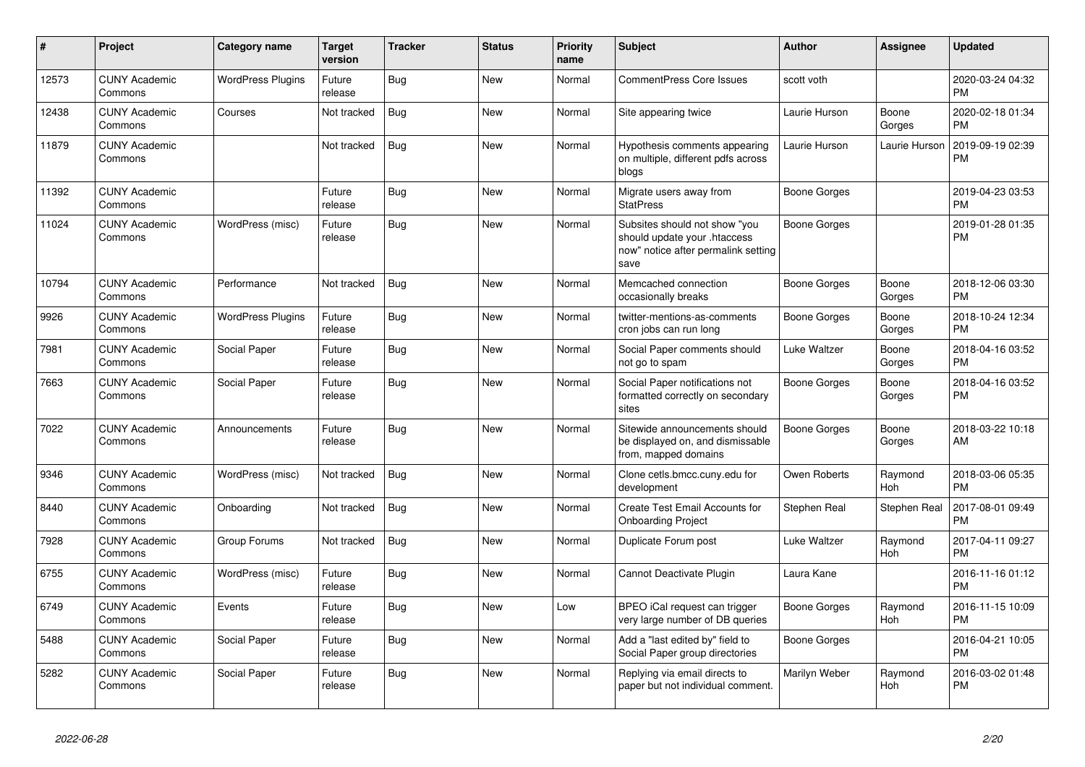| #     | Project                         | <b>Category name</b>     | Target<br>version | <b>Tracker</b> | <b>Status</b> | <b>Priority</b><br>name | <b>Subject</b>                                                                                               | <b>Author</b>       | <b>Assignee</b>       | <b>Updated</b>                |
|-------|---------------------------------|--------------------------|-------------------|----------------|---------------|-------------------------|--------------------------------------------------------------------------------------------------------------|---------------------|-----------------------|-------------------------------|
| 12573 | <b>CUNY Academic</b><br>Commons | <b>WordPress Plugins</b> | Future<br>release | Bug            | <b>New</b>    | Normal                  | <b>CommentPress Core Issues</b>                                                                              | scott voth          |                       | 2020-03-24 04:32<br><b>PM</b> |
| 12438 | <b>CUNY Academic</b><br>Commons | Courses                  | Not tracked       | Bug            | <b>New</b>    | Normal                  | Site appearing twice                                                                                         | Laurie Hurson       | Boone<br>Gorges       | 2020-02-18 01:34<br><b>PM</b> |
| 11879 | <b>CUNY Academic</b><br>Commons |                          | Not tracked       | Bug            | New           | Normal                  | Hypothesis comments appearing<br>on multiple, different pdfs across<br>blogs                                 | Laurie Hurson       | Laurie Hurson         | 2019-09-19 02:39<br><b>PM</b> |
| 11392 | <b>CUNY Academic</b><br>Commons |                          | Future<br>release | Bug            | <b>New</b>    | Normal                  | Migrate users away from<br><b>StatPress</b>                                                                  | <b>Boone Gorges</b> |                       | 2019-04-23 03:53<br><b>PM</b> |
| 11024 | <b>CUNY Academic</b><br>Commons | WordPress (misc)         | Future<br>release | <b>Bug</b>     | <b>New</b>    | Normal                  | Subsites should not show "you<br>should update your .htaccess<br>now" notice after permalink setting<br>save | <b>Boone Gorges</b> |                       | 2019-01-28 01:35<br><b>PM</b> |
| 10794 | <b>CUNY Academic</b><br>Commons | Performance              | Not tracked       | Bug            | <b>New</b>    | Normal                  | Memcached connection<br>occasionally breaks                                                                  | <b>Boone Gorges</b> | Boone<br>Gorges       | 2018-12-06 03:30<br><b>PM</b> |
| 9926  | <b>CUNY Academic</b><br>Commons | <b>WordPress Plugins</b> | Future<br>release | Bug            | <b>New</b>    | Normal                  | twitter-mentions-as-comments<br>cron jobs can run long                                                       | <b>Boone Gorges</b> | Boone<br>Gorges       | 2018-10-24 12:34<br><b>PM</b> |
| 7981  | <b>CUNY Academic</b><br>Commons | Social Paper             | Future<br>release | Bug            | New           | Normal                  | Social Paper comments should<br>not go to spam                                                               | Luke Waltzer        | Boone<br>Gorges       | 2018-04-16 03:52<br><b>PM</b> |
| 7663  | <b>CUNY Academic</b><br>Commons | Social Paper             | Future<br>release | <b>Bug</b>     | <b>New</b>    | Normal                  | Social Paper notifications not<br>formatted correctly on secondary<br>sites                                  | Boone Gorges        | Boone<br>Gorges       | 2018-04-16 03:52<br><b>PM</b> |
| 7022  | <b>CUNY Academic</b><br>Commons | Announcements            | Future<br>release | <b>Bug</b>     | <b>New</b>    | Normal                  | Sitewide announcements should<br>be displayed on, and dismissable<br>from, mapped domains                    | Boone Gorges        | Boone<br>Gorges       | 2018-03-22 10:18<br>AM        |
| 9346  | <b>CUNY Academic</b><br>Commons | WordPress (misc)         | Not tracked       | Bug            | <b>New</b>    | Normal                  | Clone cetls.bmcc.cuny.edu for<br>development                                                                 | Owen Roberts        | Raymond<br><b>Hoh</b> | 2018-03-06 05:35<br><b>PM</b> |
| 8440  | <b>CUNY Academic</b><br>Commons | Onboarding               | Not tracked       | Bug            | <b>New</b>    | Normal                  | Create Test Email Accounts for<br><b>Onboarding Project</b>                                                  | Stephen Real        | Stephen Real          | 2017-08-01 09:49<br><b>PM</b> |
| 7928  | <b>CUNY Academic</b><br>Commons | Group Forums             | Not tracked       | Bug            | <b>New</b>    | Normal                  | Duplicate Forum post                                                                                         | Luke Waltzer        | Raymond<br>Hoh        | 2017-04-11 09:27<br><b>PM</b> |
| 6755  | <b>CUNY Academic</b><br>Commons | WordPress (misc)         | Future<br>release | Bug            | <b>New</b>    | Normal                  | Cannot Deactivate Plugin                                                                                     | Laura Kane          |                       | 2016-11-16 01:12<br><b>PM</b> |
| 6749  | <b>CUNY Academic</b><br>Commons | Events                   | Future<br>release | Bug            | <b>New</b>    | Low                     | BPEO iCal request can trigger<br>very large number of DB queries                                             | <b>Boone Gorges</b> | Raymond<br>Hoh        | 2016-11-15 10:09<br><b>PM</b> |
| 5488  | <b>CUNY Academic</b><br>Commons | Social Paper             | Future<br>release | <b>Bug</b>     | <b>New</b>    | Normal                  | Add a "last edited by" field to<br>Social Paper group directories                                            | Boone Gorges        |                       | 2016-04-21 10:05<br><b>PM</b> |
| 5282  | <b>CUNY Academic</b><br>Commons | Social Paper             | Future<br>release | <b>Bug</b>     | New           | Normal                  | Replying via email directs to<br>paper but not individual comment.                                           | Marilyn Weber       | Raymond<br>Hoh        | 2016-03-02 01:48<br><b>PM</b> |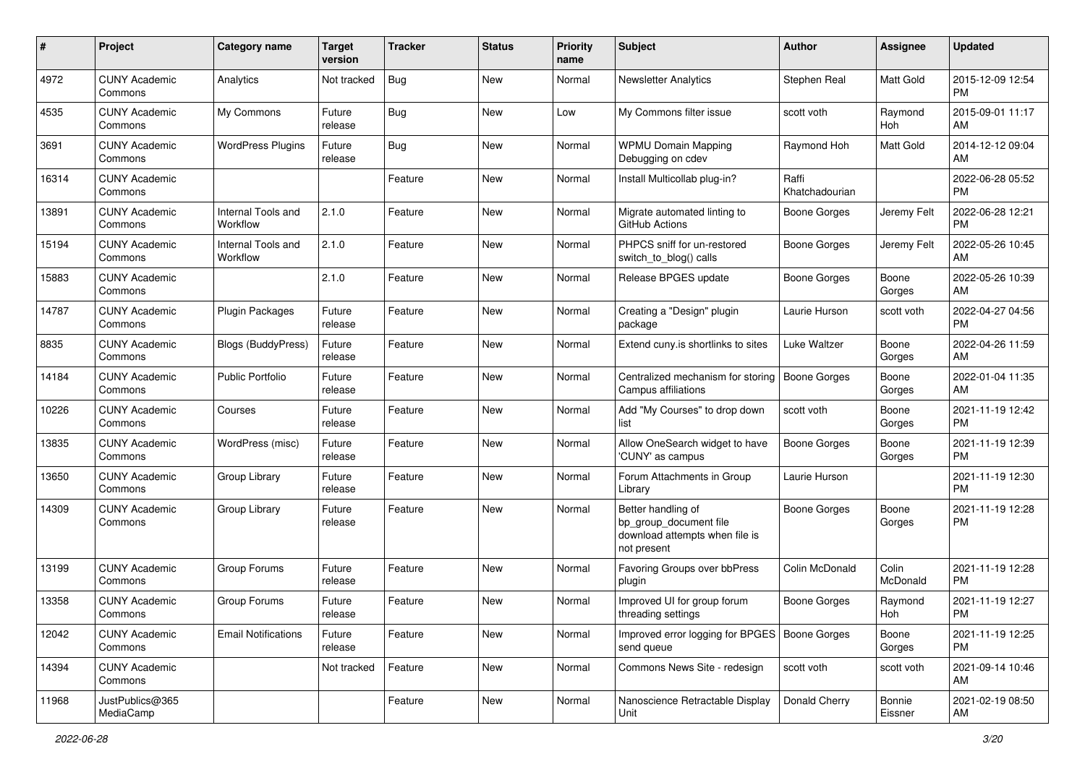| #     | Project                         | <b>Category name</b>           | <b>Target</b><br>version | <b>Tracker</b> | <b>Status</b> | <b>Priority</b><br>name | Subject                                                                                       | <b>Author</b>           | Assignee          | <b>Updated</b>                |
|-------|---------------------------------|--------------------------------|--------------------------|----------------|---------------|-------------------------|-----------------------------------------------------------------------------------------------|-------------------------|-------------------|-------------------------------|
| 4972  | <b>CUNY Academic</b><br>Commons | Analytics                      | Not tracked              | <b>Bug</b>     | New           | Normal                  | <b>Newsletter Analytics</b>                                                                   | Stephen Real            | Matt Gold         | 2015-12-09 12:54<br><b>PM</b> |
| 4535  | <b>CUNY Academic</b><br>Commons | My Commons                     | Future<br>release        | <b>Bug</b>     | New           | Low                     | My Commons filter issue                                                                       | scott voth              | Raymond<br>Hoh    | 2015-09-01 11:17<br>AM        |
| 3691  | <b>CUNY Academic</b><br>Commons | <b>WordPress Plugins</b>       | Future<br>release        | <b>Bug</b>     | New           | Normal                  | <b>WPMU Domain Mapping</b><br>Debugging on cdev                                               | Raymond Hoh             | Matt Gold         | 2014-12-12 09:04<br>AM        |
| 16314 | <b>CUNY Academic</b><br>Commons |                                |                          | Feature        | <b>New</b>    | Normal                  | Install Multicollab plug-in?                                                                  | Raffi<br>Khatchadourian |                   | 2022-06-28 05:52<br><b>PM</b> |
| 13891 | <b>CUNY Academic</b><br>Commons | Internal Tools and<br>Workflow | 2.1.0                    | Feature        | New           | Normal                  | Migrate automated linting to<br><b>GitHub Actions</b>                                         | <b>Boone Gorges</b>     | Jeremy Felt       | 2022-06-28 12:21<br><b>PM</b> |
| 15194 | <b>CUNY Academic</b><br>Commons | Internal Tools and<br>Workflow | 2.1.0                    | Feature        | <b>New</b>    | Normal                  | PHPCS sniff for un-restored<br>switch_to_blog() calls                                         | <b>Boone Gorges</b>     | Jeremy Felt       | 2022-05-26 10:45<br>AM        |
| 15883 | <b>CUNY Academic</b><br>Commons |                                | 2.1.0                    | Feature        | New           | Normal                  | Release BPGES update                                                                          | Boone Gorges            | Boone<br>Gorges   | 2022-05-26 10:39<br>AM        |
| 14787 | <b>CUNY Academic</b><br>Commons | Plugin Packages                | Future<br>release        | Feature        | New           | Normal                  | Creating a "Design" plugin<br>package                                                         | Laurie Hurson           | scott voth        | 2022-04-27 04:56<br><b>PM</b> |
| 8835  | <b>CUNY Academic</b><br>Commons | Blogs (BuddyPress)             | Future<br>release        | Feature        | New           | Normal                  | Extend cuny is shortlinks to sites                                                            | Luke Waltzer            | Boone<br>Gorges   | 2022-04-26 11:59<br>AM        |
| 14184 | <b>CUNY Academic</b><br>Commons | <b>Public Portfolio</b>        | Future<br>release        | Feature        | New           | Normal                  | Centralized mechanism for storing<br>Campus affiliations                                      | <b>Boone Gorges</b>     | Boone<br>Gorges   | 2022-01-04 11:35<br>AM        |
| 10226 | <b>CUNY Academic</b><br>Commons | Courses                        | Future<br>release        | Feature        | <b>New</b>    | Normal                  | Add "My Courses" to drop down<br>list                                                         | scott voth              | Boone<br>Gorges   | 2021-11-19 12:42<br><b>PM</b> |
| 13835 | <b>CUNY Academic</b><br>Commons | WordPress (misc)               | Future<br>release        | Feature        | <b>New</b>    | Normal                  | Allow OneSearch widget to have<br>'CUNY' as campus                                            | <b>Boone Gorges</b>     | Boone<br>Gorges   | 2021-11-19 12:39<br><b>PM</b> |
| 13650 | <b>CUNY Academic</b><br>Commons | Group Library                  | Future<br>release        | Feature        | New           | Normal                  | Forum Attachments in Group<br>Library                                                         | Laurie Hurson           |                   | 2021-11-19 12:30<br><b>PM</b> |
| 14309 | <b>CUNY Academic</b><br>Commons | Group Library                  | Future<br>release        | Feature        | New           | Normal                  | Better handling of<br>bp group document file<br>download attempts when file is<br>not present | <b>Boone Gorges</b>     | Boone<br>Gorges   | 2021-11-19 12:28<br>РM        |
| 13199 | <b>CUNY Academic</b><br>Commons | Group Forums                   | Future<br>release        | Feature        | New           | Normal                  | Favoring Groups over bbPress<br>plugin                                                        | Colin McDonald          | Colin<br>McDonald | 2021-11-19 12:28<br>PM        |
| 13358 | <b>CUNY Academic</b><br>Commons | Group Forums                   | Future<br>release        | Feature        | New           | Normal                  | Improved UI for group forum<br>threading settings                                             | Boone Gorges            | Raymond<br>Hoh    | 2021-11-19 12:27<br>PM        |
| 12042 | <b>CUNY Academic</b><br>Commons | <b>Email Notifications</b>     | Future<br>release        | Feature        | New           | Normal                  | Improved error logging for BPGES   Boone Gorges<br>send queue                                 |                         | Boone<br>Gorges   | 2021-11-19 12:25<br><b>PM</b> |
| 14394 | <b>CUNY Academic</b><br>Commons |                                | Not tracked              | Feature        | New           | Normal                  | Commons News Site - redesign                                                                  | scott voth              | scott voth        | 2021-09-14 10:46<br>AM        |
| 11968 | JustPublics@365<br>MediaCamp    |                                |                          | Feature        | New           | Normal                  | Nanoscience Retractable Display<br>Unit                                                       | Donald Cherry           | Bonnie<br>Eissner | 2021-02-19 08:50<br>AM        |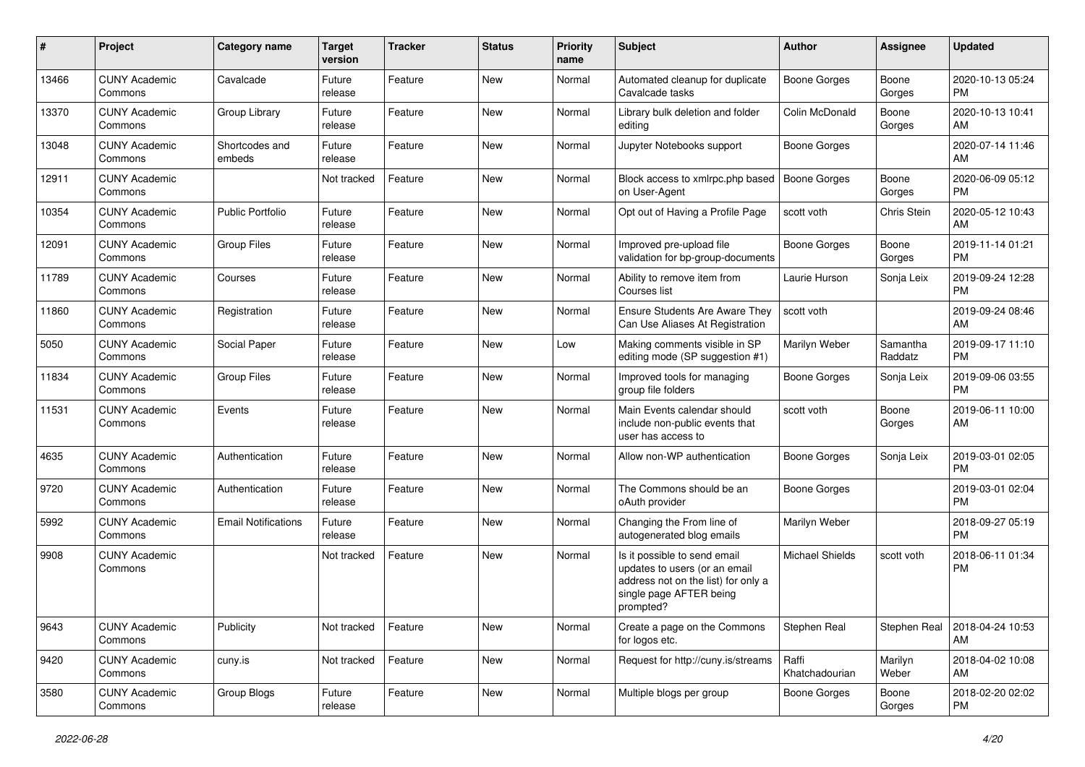| #     | Project                         | <b>Category name</b>       | <b>Target</b><br>version | <b>Tracker</b> | <b>Status</b> | <b>Priority</b><br>name | Subject                                                                                                                                      | Author                  | Assignee            | <b>Updated</b>                |
|-------|---------------------------------|----------------------------|--------------------------|----------------|---------------|-------------------------|----------------------------------------------------------------------------------------------------------------------------------------------|-------------------------|---------------------|-------------------------------|
| 13466 | <b>CUNY Academic</b><br>Commons | Cavalcade                  | Future<br>release        | Feature        | <b>New</b>    | Normal                  | Automated cleanup for duplicate<br>Cavalcade tasks                                                                                           | <b>Boone Gorges</b>     | Boone<br>Gorges     | 2020-10-13 05:24<br><b>PM</b> |
| 13370 | <b>CUNY Academic</b><br>Commons | Group Library              | Future<br>release        | Feature        | New           | Normal                  | Library bulk deletion and folder<br>editing                                                                                                  | Colin McDonald          | Boone<br>Gorges     | 2020-10-13 10:41<br>AM        |
| 13048 | <b>CUNY Academic</b><br>Commons | Shortcodes and<br>embeds   | Future<br>release        | Feature        | <b>New</b>    | Normal                  | Jupyter Notebooks support                                                                                                                    | <b>Boone Gorges</b>     |                     | 2020-07-14 11:46<br>AM        |
| 12911 | <b>CUNY Academic</b><br>Commons |                            | Not tracked              | Feature        | <b>New</b>    | Normal                  | Block access to xmlrpc.php based<br>on User-Agent                                                                                            | <b>Boone Gorges</b>     | Boone<br>Gorges     | 2020-06-09 05:12<br><b>PM</b> |
| 10354 | <b>CUNY Academic</b><br>Commons | <b>Public Portfolio</b>    | Future<br>release        | Feature        | <b>New</b>    | Normal                  | Opt out of Having a Profile Page                                                                                                             | scott voth              | Chris Stein         | 2020-05-12 10:43<br>AM        |
| 12091 | <b>CUNY Academic</b><br>Commons | <b>Group Files</b>         | Future<br>release        | Feature        | <b>New</b>    | Normal                  | Improved pre-upload file<br>validation for bp-group-documents                                                                                | <b>Boone Gorges</b>     | Boone<br>Gorges     | 2019-11-14 01:21<br><b>PM</b> |
| 11789 | <b>CUNY Academic</b><br>Commons | Courses                    | Future<br>release        | Feature        | New           | Normal                  | Ability to remove item from<br>Courses list                                                                                                  | Laurie Hurson           | Sonja Leix          | 2019-09-24 12:28<br><b>PM</b> |
| 11860 | <b>CUNY Academic</b><br>Commons | Registration               | Future<br>release        | Feature        | <b>New</b>    | Normal                  | <b>Ensure Students Are Aware They</b><br>Can Use Aliases At Registration                                                                     | scott voth              |                     | 2019-09-24 08:46<br>AM        |
| 5050  | <b>CUNY Academic</b><br>Commons | Social Paper               | Future<br>release        | Feature        | New           | Low                     | Making comments visible in SP<br>editing mode (SP suggestion #1)                                                                             | Marilyn Weber           | Samantha<br>Raddatz | 2019-09-17 11:10<br><b>PM</b> |
| 11834 | <b>CUNY Academic</b><br>Commons | <b>Group Files</b>         | Future<br>release        | Feature        | New           | Normal                  | Improved tools for managing<br>group file folders                                                                                            | <b>Boone Gorges</b>     | Sonja Leix          | 2019-09-06 03:55<br>PM        |
| 11531 | <b>CUNY Academic</b><br>Commons | Events                     | Future<br>release        | Feature        | <b>New</b>    | Normal                  | Main Events calendar should<br>include non-public events that<br>user has access to                                                          | scott voth              | Boone<br>Gorges     | 2019-06-11 10:00<br>AM        |
| 4635  | <b>CUNY Academic</b><br>Commons | Authentication             | Future<br>release        | Feature        | <b>New</b>    | Normal                  | Allow non-WP authentication                                                                                                                  | Boone Gorges            | Sonja Leix          | 2019-03-01 02:05<br><b>PM</b> |
| 9720  | <b>CUNY Academic</b><br>Commons | Authentication             | Future<br>release        | Feature        | <b>New</b>    | Normal                  | The Commons should be an<br>oAuth provider                                                                                                   | <b>Boone Gorges</b>     |                     | 2019-03-01 02:04<br><b>PM</b> |
| 5992  | <b>CUNY Academic</b><br>Commons | <b>Email Notifications</b> | Future<br>release        | Feature        | <b>New</b>    | Normal                  | Changing the From line of<br>autogenerated blog emails                                                                                       | Marilyn Weber           |                     | 2018-09-27 05:19<br><b>PM</b> |
| 9908  | <b>CUNY Academic</b><br>Commons |                            | Not tracked              | Feature        | <b>New</b>    | Normal                  | Is it possible to send email<br>updates to users (or an email<br>address not on the list) for only a<br>single page AFTER being<br>prompted? | <b>Michael Shields</b>  | scott voth          | 2018-06-11 01:34<br><b>PM</b> |
| 9643  | <b>CUNY Academic</b><br>Commons | Publicity                  | Not tracked              | Feature        | New           | Normal                  | Create a page on the Commons<br>for logos etc.                                                                                               | Stephen Real            | Stephen Real        | 2018-04-24 10:53<br>AM        |
| 9420  | <b>CUNY Academic</b><br>Commons | cuny.is                    | Not tracked              | Feature        | New           | Normal                  | Request for http://cuny.is/streams                                                                                                           | Raffi<br>Khatchadourian | Marilyn<br>Weber    | 2018-04-02 10:08<br>AM        |
| 3580  | <b>CUNY Academic</b><br>Commons | Group Blogs                | Future<br>release        | Feature        | New           | Normal                  | Multiple blogs per group                                                                                                                     | <b>Boone Gorges</b>     | Boone<br>Gorges     | 2018-02-20 02:02<br><b>PM</b> |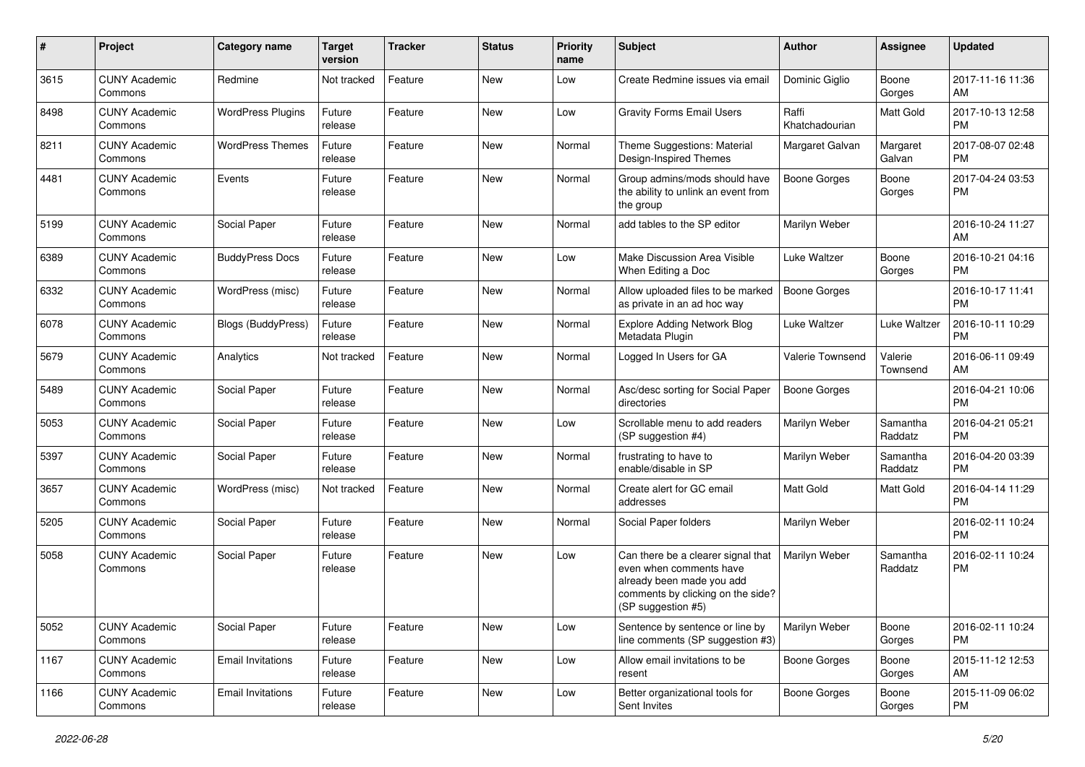| #    | Project                         | <b>Category name</b>      | <b>Target</b><br>version | <b>Tracker</b> | <b>Status</b> | <b>Priority</b><br>name | Subject                                                                                                                                               | Author                  | <b>Assignee</b>     | <b>Updated</b>                |
|------|---------------------------------|---------------------------|--------------------------|----------------|---------------|-------------------------|-------------------------------------------------------------------------------------------------------------------------------------------------------|-------------------------|---------------------|-------------------------------|
| 3615 | <b>CUNY Academic</b><br>Commons | Redmine                   | Not tracked              | Feature        | <b>New</b>    | Low                     | Create Redmine issues via email                                                                                                                       | Dominic Giglio          | Boone<br>Gorges     | 2017-11-16 11:36<br>AM        |
| 8498 | <b>CUNY Academic</b><br>Commons | <b>WordPress Plugins</b>  | Future<br>release        | Feature        | New           | Low                     | <b>Gravity Forms Email Users</b>                                                                                                                      | Raffi<br>Khatchadourian | <b>Matt Gold</b>    | 2017-10-13 12:58<br><b>PM</b> |
| 8211 | <b>CUNY Academic</b><br>Commons | <b>WordPress Themes</b>   | Future<br>release        | Feature        | New           | Normal                  | Theme Suggestions: Material<br>Design-Inspired Themes                                                                                                 | Margaret Galvan         | Margaret<br>Galvan  | 2017-08-07 02:48<br><b>PM</b> |
| 4481 | <b>CUNY Academic</b><br>Commons | Events                    | Future<br>release        | Feature        | <b>New</b>    | Normal                  | Group admins/mods should have<br>the ability to unlink an event from<br>the group                                                                     | <b>Boone Gorges</b>     | Boone<br>Gorges     | 2017-04-24 03:53<br><b>PM</b> |
| 5199 | <b>CUNY Academic</b><br>Commons | Social Paper              | Future<br>release        | Feature        | New           | Normal                  | add tables to the SP editor                                                                                                                           | Marilyn Weber           |                     | 2016-10-24 11:27<br>AM        |
| 6389 | <b>CUNY Academic</b><br>Commons | <b>BuddyPress Docs</b>    | Future<br>release        | Feature        | <b>New</b>    | Low                     | Make Discussion Area Visible<br>When Editing a Doc                                                                                                    | Luke Waltzer            | Boone<br>Gorges     | 2016-10-21 04:16<br><b>PM</b> |
| 6332 | <b>CUNY Academic</b><br>Commons | WordPress (misc)          | Future<br>release        | Feature        | <b>New</b>    | Normal                  | Allow uploaded files to be marked<br>as private in an ad hoc way                                                                                      | <b>Boone Gorges</b>     |                     | 2016-10-17 11:41<br><b>PM</b> |
| 6078 | <b>CUNY Academic</b><br>Commons | <b>Blogs (BuddyPress)</b> | Future<br>release        | Feature        | New           | Normal                  | <b>Explore Adding Network Blog</b><br>Metadata Plugin                                                                                                 | Luke Waltzer            | Luke Waltzer        | 2016-10-11 10:29<br><b>PM</b> |
| 5679 | <b>CUNY Academic</b><br>Commons | Analytics                 | Not tracked              | Feature        | <b>New</b>    | Normal                  | Logged In Users for GA                                                                                                                                | Valerie Townsend        | Valerie<br>Townsend | 2016-06-11 09:49<br>AM        |
| 5489 | <b>CUNY Academic</b><br>Commons | Social Paper              | Future<br>release        | Feature        | New           | Normal                  | Asc/desc sorting for Social Paper<br>directories                                                                                                      | <b>Boone Gorges</b>     |                     | 2016-04-21 10:06<br><b>PM</b> |
| 5053 | <b>CUNY Academic</b><br>Commons | Social Paper              | Future<br>release        | Feature        | <b>New</b>    | Low                     | Scrollable menu to add readers<br>(SP suggestion #4)                                                                                                  | Marilyn Weber           | Samantha<br>Raddatz | 2016-04-21 05:21<br><b>PM</b> |
| 5397 | <b>CUNY Academic</b><br>Commons | Social Paper              | Future<br>release        | Feature        | <b>New</b>    | Normal                  | frustrating to have to<br>enable/disable in SP                                                                                                        | Marilyn Weber           | Samantha<br>Raddatz | 2016-04-20 03:39<br><b>PM</b> |
| 3657 | <b>CUNY Academic</b><br>Commons | WordPress (misc)          | Not tracked              | Feature        | <b>New</b>    | Normal                  | Create alert for GC email<br>addresses                                                                                                                | <b>Matt Gold</b>        | <b>Matt Gold</b>    | 2016-04-14 11:29<br><b>PM</b> |
| 5205 | <b>CUNY Academic</b><br>Commons | Social Paper              | Future<br>release        | Feature        | New           | Normal                  | Social Paper folders                                                                                                                                  | Marilyn Weber           |                     | 2016-02-11 10:24<br><b>PM</b> |
| 5058 | <b>CUNY Academic</b><br>Commons | Social Paper              | Future<br>release        | Feature        | New           | Low                     | Can there be a clearer signal that<br>even when comments have<br>already been made you add<br>comments by clicking on the side?<br>(SP suggestion #5) | Marilyn Weber           | Samantha<br>Raddatz | 2016-02-11 10:24<br><b>PM</b> |
| 5052 | <b>CUNY Academic</b><br>Commons | Social Paper              | Future<br>release        | Feature        | New           | Low                     | Sentence by sentence or line by<br>line comments (SP suggestion #3)                                                                                   | Marilyn Weber           | Boone<br>Gorges     | 2016-02-11 10:24<br><b>PM</b> |
| 1167 | <b>CUNY Academic</b><br>Commons | <b>Email Invitations</b>  | Future<br>release        | Feature        | New           | Low                     | Allow email invitations to be<br>resent                                                                                                               | <b>Boone Gorges</b>     | Boone<br>Gorges     | 2015-11-12 12:53<br>AM        |
| 1166 | <b>CUNY Academic</b><br>Commons | <b>Email Invitations</b>  | Future<br>release        | Feature        | New           | Low                     | Better organizational tools for<br>Sent Invites                                                                                                       | <b>Boone Gorges</b>     | Boone<br>Gorges     | 2015-11-09 06:02<br><b>PM</b> |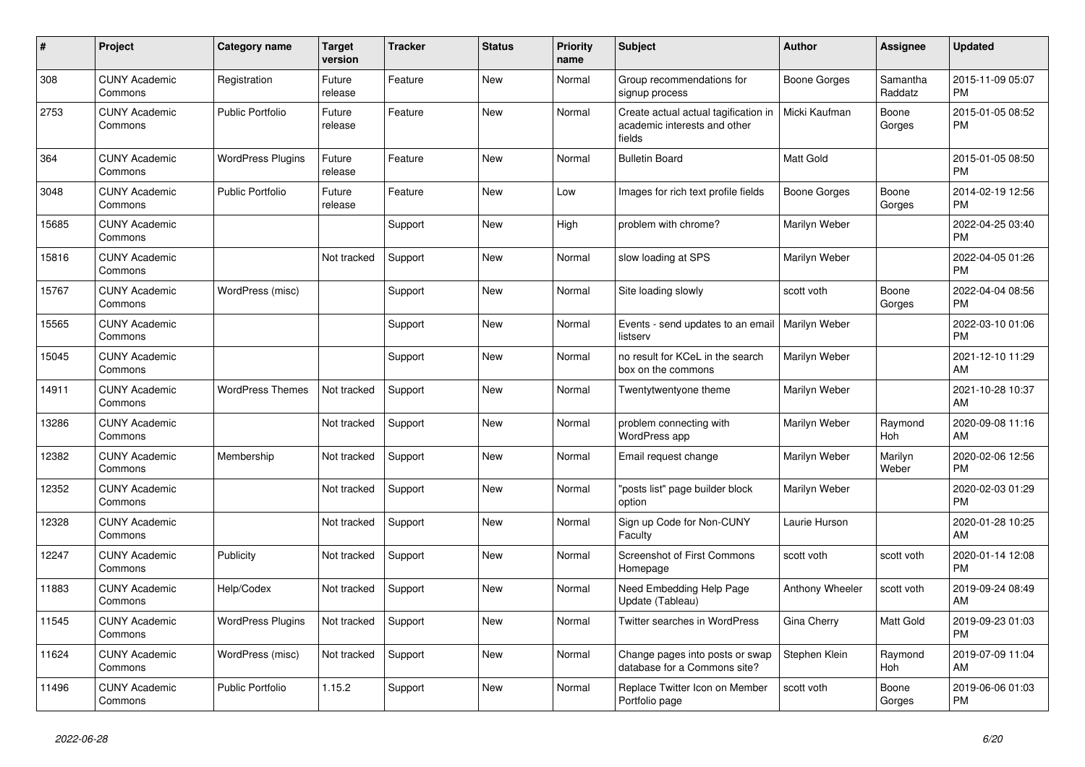| $\pmb{\sharp}$ | <b>Project</b>                  | <b>Category name</b>     | <b>Target</b><br>version | <b>Tracker</b> | <b>Status</b> | Priority<br>name | <b>Subject</b>                                                                 | Author          | Assignee            | <b>Updated</b>                |
|----------------|---------------------------------|--------------------------|--------------------------|----------------|---------------|------------------|--------------------------------------------------------------------------------|-----------------|---------------------|-------------------------------|
| 308            | <b>CUNY Academic</b><br>Commons | Registration             | Future<br>release        | Feature        | New           | Normal           | Group recommendations for<br>signup process                                    | Boone Gorges    | Samantha<br>Raddatz | 2015-11-09 05:07<br><b>PM</b> |
| 2753           | <b>CUNY Academic</b><br>Commons | <b>Public Portfolio</b>  | Future<br>release        | Feature        | <b>New</b>    | Normal           | Create actual actual tagification in<br>academic interests and other<br>fields | Micki Kaufman   | Boone<br>Gorges     | 2015-01-05 08:52<br><b>PM</b> |
| 364            | <b>CUNY Academic</b><br>Commons | <b>WordPress Plugins</b> | Future<br>release        | Feature        | New           | Normal           | <b>Bulletin Board</b>                                                          | Matt Gold       |                     | 2015-01-05 08:50<br><b>PM</b> |
| 3048           | <b>CUNY Academic</b><br>Commons | <b>Public Portfolio</b>  | Future<br>release        | Feature        | New           | Low              | Images for rich text profile fields                                            | Boone Gorges    | Boone<br>Gorges     | 2014-02-19 12:56<br><b>PM</b> |
| 15685          | <b>CUNY Academic</b><br>Commons |                          |                          | Support        | <b>New</b>    | High             | problem with chrome?                                                           | Marilyn Weber   |                     | 2022-04-25 03:40<br><b>PM</b> |
| 15816          | <b>CUNY Academic</b><br>Commons |                          | Not tracked              | Support        | New           | Normal           | slow loading at SPS                                                            | Marilyn Weber   |                     | 2022-04-05 01:26<br><b>PM</b> |
| 15767          | <b>CUNY Academic</b><br>Commons | WordPress (misc)         |                          | Support        | New           | Normal           | Site loading slowly                                                            | scott voth      | Boone<br>Gorges     | 2022-04-04 08:56<br><b>PM</b> |
| 15565          | <b>CUNY Academic</b><br>Commons |                          |                          | Support        | New           | Normal           | Events - send updates to an email   Marilyn Weber<br>listserv                  |                 |                     | 2022-03-10 01:06<br><b>PM</b> |
| 15045          | <b>CUNY Academic</b><br>Commons |                          |                          | Support        | New           | Normal           | no result for KCeL in the search<br>box on the commons                         | Marilyn Weber   |                     | 2021-12-10 11:29<br>AM        |
| 14911          | <b>CUNY Academic</b><br>Commons | <b>WordPress Themes</b>  | Not tracked              | Support        | <b>New</b>    | Normal           | Twentytwentyone theme                                                          | Marilyn Weber   |                     | 2021-10-28 10:37<br>AM        |
| 13286          | <b>CUNY Academic</b><br>Commons |                          | Not tracked              | Support        | <b>New</b>    | Normal           | problem connecting with<br>WordPress app                                       | Marilyn Weber   | Raymond<br>Hoh      | 2020-09-08 11:16<br>AM        |
| 12382          | <b>CUNY Academic</b><br>Commons | Membership               | Not tracked              | Support        | <b>New</b>    | Normal           | Email request change                                                           | Marilyn Weber   | Marilyn<br>Weber    | 2020-02-06 12:56<br><b>PM</b> |
| 12352          | <b>CUNY Academic</b><br>Commons |                          | Not tracked              | Support        | <b>New</b>    | Normal           | 'posts list" page builder block<br>option                                      | Marilyn Weber   |                     | 2020-02-03 01:29<br><b>PM</b> |
| 12328          | <b>CUNY Academic</b><br>Commons |                          | Not tracked              | Support        | <b>New</b>    | Normal           | Sign up Code for Non-CUNY<br>Faculty                                           | Laurie Hurson   |                     | 2020-01-28 10:25<br>AM        |
| 12247          | <b>CUNY Academic</b><br>Commons | Publicity                | Not tracked              | Support        | New           | Normal           | <b>Screenshot of First Commons</b><br>Homepage                                 | scott voth      | scott voth          | 2020-01-14 12:08<br><b>PM</b> |
| 11883          | <b>CUNY Academic</b><br>Commons | Help/Codex               | Not tracked              | Support        | New           | Normal           | Need Embedding Help Page<br>Update (Tableau)                                   | Anthony Wheeler | scott voth          | 2019-09-24 08:49<br>AM        |
| 11545          | <b>CUNY Academic</b><br>Commons | <b>WordPress Plugins</b> | Not tracked              | Support        | New           | Normal           | Twitter searches in WordPress                                                  | Gina Cherry     | <b>Matt Gold</b>    | 2019-09-23 01:03<br><b>PM</b> |
| 11624          | <b>CUNY Academic</b><br>Commons | WordPress (misc)         | Not tracked              | Support        | <b>New</b>    | Normal           | Change pages into posts or swap<br>database for a Commons site?                | Stephen Klein   | Raymond<br>Hoh      | 2019-07-09 11:04<br>AM        |
| 11496          | <b>CUNY Academic</b><br>Commons | <b>Public Portfolio</b>  | 1.15.2                   | Support        | <b>New</b>    | Normal           | Replace Twitter Icon on Member<br>Portfolio page                               | scott voth      | Boone<br>Gorges     | 2019-06-06 01:03<br>PM        |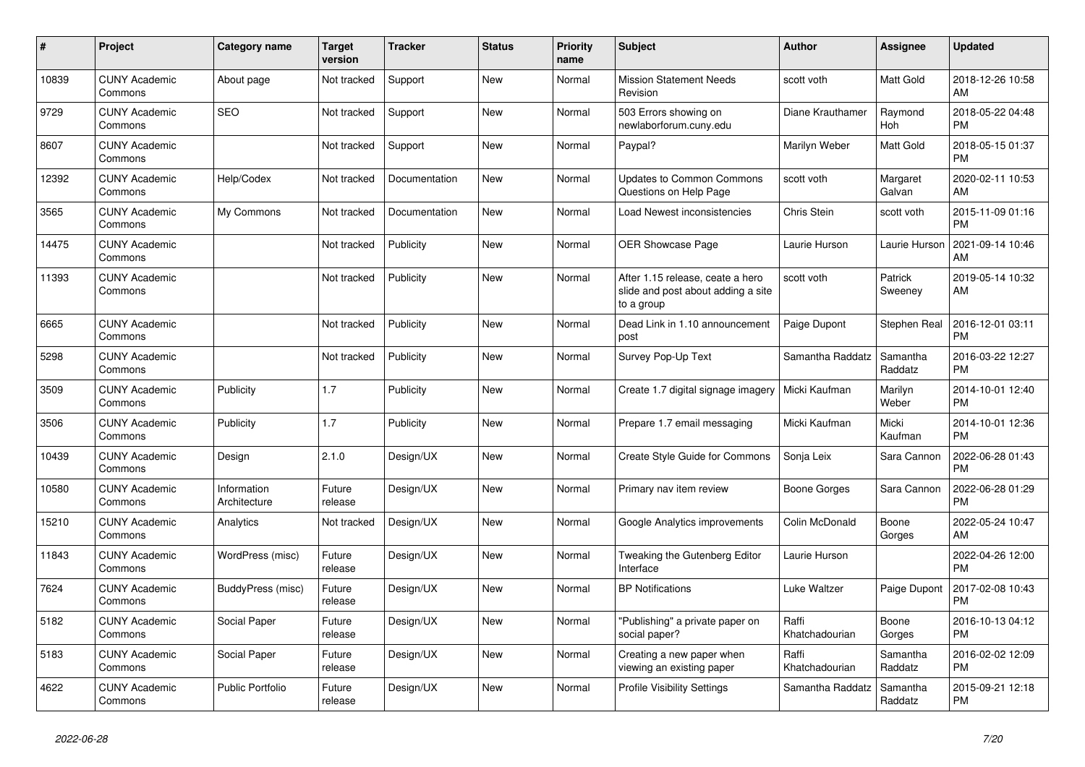| #     | <b>Project</b>                  | <b>Category name</b>        | <b>Target</b><br>version | <b>Tracker</b> | <b>Status</b> | <b>Priority</b><br>name | <b>Subject</b>                                                                       | <b>Author</b>           | Assignee            | Updated                       |
|-------|---------------------------------|-----------------------------|--------------------------|----------------|---------------|-------------------------|--------------------------------------------------------------------------------------|-------------------------|---------------------|-------------------------------|
| 10839 | <b>CUNY Academic</b><br>Commons | About page                  | Not tracked              | Support        | <b>New</b>    | Normal                  | <b>Mission Statement Needs</b><br>Revision                                           | scott voth              | <b>Matt Gold</b>    | 2018-12-26 10:58<br>AM        |
| 9729  | <b>CUNY Academic</b><br>Commons | <b>SEO</b>                  | Not tracked              | Support        | New           | Normal                  | 503 Errors showing on<br>newlaborforum.cuny.edu                                      | Diane Krauthamer        | Raymond<br>Hoh      | 2018-05-22 04:48<br><b>PM</b> |
| 8607  | <b>CUNY Academic</b><br>Commons |                             | Not tracked              | Support        | <b>New</b>    | Normal                  | Paypal?                                                                              | Marilyn Weber           | Matt Gold           | 2018-05-15 01:37<br>PM        |
| 12392 | <b>CUNY Academic</b><br>Commons | Help/Codex                  | Not tracked              | Documentation  | <b>New</b>    | Normal                  | <b>Updates to Common Commons</b><br>Questions on Help Page                           | scott voth              | Margaret<br>Galvan  | 2020-02-11 10:53<br>AM        |
| 3565  | <b>CUNY Academic</b><br>Commons | My Commons                  | Not tracked              | Documentation  | New           | Normal                  | Load Newest inconsistencies                                                          | Chris Stein             | scott voth          | 2015-11-09 01:16<br>PМ        |
| 14475 | <b>CUNY Academic</b><br>Commons |                             | Not tracked              | Publicity      | New           | Normal                  | <b>OER Showcase Page</b>                                                             | Laurie Hurson           | Laurie Hurson       | 2021-09-14 10:46<br>AM        |
| 11393 | <b>CUNY Academic</b><br>Commons |                             | Not tracked              | Publicity      | <b>New</b>    | Normal                  | After 1.15 release, ceate a hero<br>slide and post about adding a site<br>to a group | scott voth              | Patrick<br>Sweeney  | 2019-05-14 10:32<br>AM        |
| 6665  | <b>CUNY Academic</b><br>Commons |                             | Not tracked              | Publicity      | <b>New</b>    | Normal                  | Dead Link in 1.10 announcement<br>post                                               | Paige Dupont            | Stephen Real        | 2016-12-01 03:11<br>PM        |
| 5298  | <b>CUNY Academic</b><br>Commons |                             | Not tracked              | Publicity      | <b>New</b>    | Normal                  | Survey Pop-Up Text                                                                   | Samantha Raddatz        | Samantha<br>Raddatz | 2016-03-22 12:27<br>PМ        |
| 3509  | <b>CUNY Academic</b><br>Commons | Publicity                   | 1.7                      | Publicity      | <b>New</b>    | Normal                  | Create 1.7 digital signage imagery                                                   | Micki Kaufman           | Marilyn<br>Weber    | 2014-10-01 12:40<br>PM        |
| 3506  | <b>CUNY Academic</b><br>Commons | Publicity                   | 1.7                      | Publicity      | New           | Normal                  | Prepare 1.7 email messaging                                                          | Micki Kaufman           | Micki<br>Kaufman    | 2014-10-01 12:36<br>PM        |
| 10439 | <b>CUNY Academic</b><br>Commons | Design                      | 2.1.0                    | Design/UX      | New           | Normal                  | Create Style Guide for Commons                                                       | Sonja Leix              | Sara Cannon         | 2022-06-28 01:43<br>РM        |
| 10580 | <b>CUNY Academic</b><br>Commons | Information<br>Architecture | Future<br>release        | Design/UX      | <b>New</b>    | Normal                  | Primary nav item review                                                              | Boone Gorges            | Sara Cannon         | 2022-06-28 01:29<br>PM        |
| 15210 | <b>CUNY Academic</b><br>Commons | Analytics                   | Not tracked              | Design/UX      | <b>New</b>    | Normal                  | Google Analytics improvements                                                        | Colin McDonald          | Boone<br>Gorges     | 2022-05-24 10:47<br>AM        |
| 11843 | <b>CUNY Academic</b><br>Commons | WordPress (misc)            | Future<br>release        | Design/UX      | <b>New</b>    | Normal                  | Tweaking the Gutenberg Editor<br>Interface                                           | Laurie Hurson           |                     | 2022-04-26 12:00<br>PМ        |
| 7624  | <b>CUNY Academic</b><br>Commons | BuddyPress (misc)           | Future<br>release        | Design/UX      | <b>New</b>    | Normal                  | <b>BP Notifications</b>                                                              | Luke Waltzer            | Paige Dupont        | 2017-02-08 10:43<br>PM        |
| 5182  | <b>CUNY Academic</b><br>Commons | Social Paper                | Future<br>release        | Design/UX      | <b>New</b>    | Normal                  | "Publishing" a private paper on<br>social paper?                                     | Raffi<br>Khatchadourian | Boone<br>Gorges     | 2016-10-13 04:12<br><b>PM</b> |
| 5183  | <b>CUNY Academic</b><br>Commons | Social Paper                | Future<br>release        | Design/UX      | <b>New</b>    | Normal                  | Creating a new paper when<br>viewing an existing paper                               | Raffi<br>Khatchadourian | Samantha<br>Raddatz | 2016-02-02 12:09<br><b>PM</b> |
| 4622  | <b>CUNY Academic</b><br>Commons | <b>Public Portfolio</b>     | Future<br>release        | Design/UX      | <b>New</b>    | Normal                  | <b>Profile Visibility Settings</b>                                                   | Samantha Raddatz        | Samantha<br>Raddatz | 2015-09-21 12:18<br><b>PM</b> |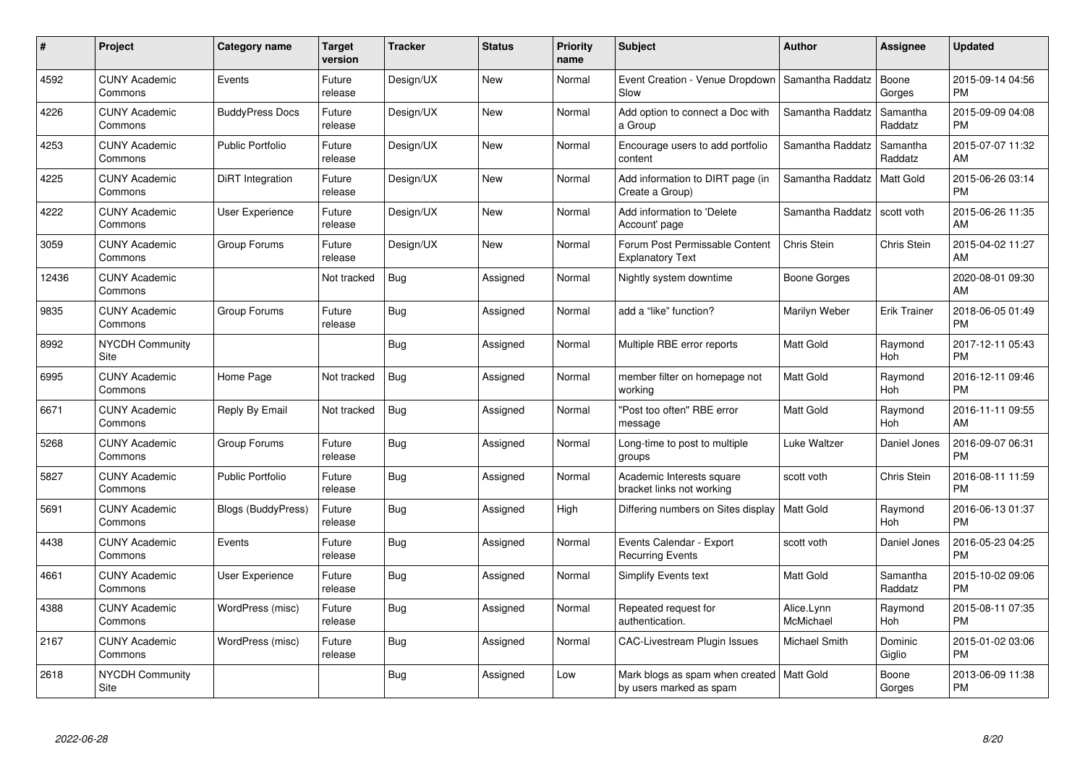| $\pmb{\#}$ | Project                         | <b>Category name</b>      | Target<br>version | <b>Tracker</b> | <b>Status</b> | <b>Priority</b><br>name | <b>Subject</b>                                                         | Author                        | <b>Assignee</b>       | <b>Updated</b>                |
|------------|---------------------------------|---------------------------|-------------------|----------------|---------------|-------------------------|------------------------------------------------------------------------|-------------------------------|-----------------------|-------------------------------|
| 4592       | <b>CUNY Academic</b><br>Commons | Events                    | Future<br>release | Design/UX      | <b>New</b>    | Normal                  | Event Creation - Venue Dropdown<br>Slow                                | Samantha Raddatz              | Boone<br>Gorges       | 2015-09-14 04:56<br><b>PM</b> |
| 4226       | <b>CUNY Academic</b><br>Commons | <b>BuddyPress Docs</b>    | Future<br>release | Design/UX      | <b>New</b>    | Normal                  | Add option to connect a Doc with<br>a Group                            | Samantha Raddatz              | Samantha<br>Raddatz   | 2015-09-09 04:08<br><b>PM</b> |
| 4253       | <b>CUNY Academic</b><br>Commons | <b>Public Portfolio</b>   | Future<br>release | Design/UX      | <b>New</b>    | Normal                  | Encourage users to add portfolio<br>content                            | Samantha Raddatz              | Samantha<br>Raddatz   | 2015-07-07 11:32<br>AM        |
| 4225       | <b>CUNY Academic</b><br>Commons | <b>DiRT</b> Integration   | Future<br>release | Design/UX      | <b>New</b>    | Normal                  | Add information to DIRT page (in<br>Create a Group)                    | Samantha Raddatz              | <b>Matt Gold</b>      | 2015-06-26 03:14<br><b>PM</b> |
| 4222       | <b>CUNY Academic</b><br>Commons | <b>User Experience</b>    | Future<br>release | Design/UX      | <b>New</b>    | Normal                  | Add information to 'Delete<br>Account' page                            | Samantha Raddatz   scott voth |                       | 2015-06-26 11:35<br>AM        |
| 3059       | <b>CUNY Academic</b><br>Commons | Group Forums              | Future<br>release | Design/UX      | <b>New</b>    | Normal                  | Forum Post Permissable Content<br><b>Explanatory Text</b>              | Chris Stein                   | Chris Stein           | 2015-04-02 11:27<br>AM        |
| 12436      | <b>CUNY Academic</b><br>Commons |                           | Not tracked       | <b>Bug</b>     | Assigned      | Normal                  | Nightly system downtime                                                | Boone Gorges                  |                       | 2020-08-01 09:30<br>AM        |
| 9835       | <b>CUNY Academic</b><br>Commons | Group Forums              | Future<br>release | Bug            | Assigned      | Normal                  | add a "like" function?                                                 | Marilyn Weber                 | <b>Erik Trainer</b>   | 2018-06-05 01:49<br><b>PM</b> |
| 8992       | <b>NYCDH Community</b><br>Site  |                           |                   | <b>Bug</b>     | Assigned      | Normal                  | Multiple RBE error reports                                             | <b>Matt Gold</b>              | Raymond<br>Hoh        | 2017-12-11 05:43<br><b>PM</b> |
| 6995       | <b>CUNY Academic</b><br>Commons | Home Page                 | Not tracked       | <b>Bug</b>     | Assigned      | Normal                  | member filter on homepage not<br>working                               | <b>Matt Gold</b>              | Raymond<br>Hoh        | 2016-12-11 09:46<br><b>PM</b> |
| 6671       | <b>CUNY Academic</b><br>Commons | Reply By Email            | Not tracked       | <b>Bug</b>     | Assigned      | Normal                  | 'Post too often" RBE error<br>message                                  | <b>Matt Gold</b>              | Raymond<br>Hoh        | 2016-11-11 09:55<br>AM        |
| 5268       | <b>CUNY Academic</b><br>Commons | Group Forums              | Future<br>release | <b>Bug</b>     | Assigned      | Normal                  | Long-time to post to multiple<br>groups                                | Luke Waltzer                  | Daniel Jones          | 2016-09-07 06:31<br><b>PM</b> |
| 5827       | <b>CUNY Academic</b><br>Commons | <b>Public Portfolio</b>   | Future<br>release | <b>Bug</b>     | Assigned      | Normal                  | Academic Interests square<br>bracket links not working                 | scott voth                    | Chris Stein           | 2016-08-11 11:59<br><b>PM</b> |
| 5691       | <b>CUNY Academic</b><br>Commons | <b>Blogs (BuddyPress)</b> | Future<br>release | Bug            | Assigned      | High                    | Differing numbers on Sites display   Matt Gold                         |                               | Raymond<br>Hoh        | 2016-06-13 01:37<br><b>PM</b> |
| 4438       | <b>CUNY Academic</b><br>Commons | Events                    | Future<br>release | <b>Bug</b>     | Assigned      | Normal                  | Events Calendar - Export<br><b>Recurring Events</b>                    | scott voth                    | Daniel Jones          | 2016-05-23 04:25<br><b>PM</b> |
| 4661       | <b>CUNY Academic</b><br>Commons | <b>User Experience</b>    | Future<br>release | <b>Bug</b>     | Assigned      | Normal                  | Simplify Events text                                                   | <b>Matt Gold</b>              | Samantha<br>Raddatz   | 2015-10-02 09:06<br><b>PM</b> |
| 4388       | <b>CUNY Academic</b><br>Commons | WordPress (misc)          | Future<br>release | Bug            | Assigned      | Normal                  | Repeated request for<br>authentication.                                | Alice.Lynn<br>McMichael       | Raymond<br><b>Hoh</b> | 2015-08-11 07:35<br><b>PM</b> |
| 2167       | <b>CUNY Academic</b><br>Commons | WordPress (misc)          | Future<br>release | <b>Bug</b>     | Assigned      | Normal                  | <b>CAC-Livestream Plugin Issues</b>                                    | Michael Smith                 | Dominic<br>Giglio     | 2015-01-02 03:06<br><b>PM</b> |
| 2618       | <b>NYCDH Community</b><br>Site  |                           |                   | <b>Bug</b>     | Assigned      | Low                     | Mark blogs as spam when created   Matt Gold<br>by users marked as spam |                               | Boone<br>Gorges       | 2013-06-09 11:38<br>PM        |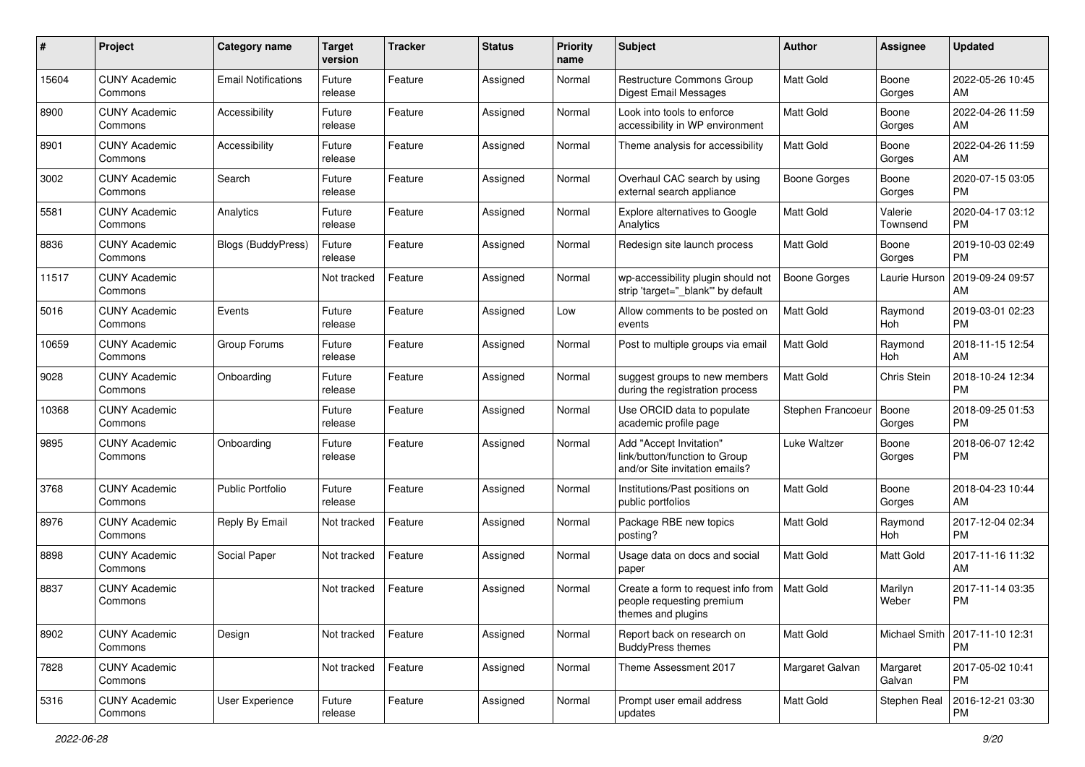| #     | Project                         | <b>Category name</b>       | <b>Target</b><br>version | <b>Tracker</b> | <b>Status</b> | <b>Priority</b><br>name | Subject                                                                                    | Author              | <b>Assignee</b>     | <b>Updated</b>                |
|-------|---------------------------------|----------------------------|--------------------------|----------------|---------------|-------------------------|--------------------------------------------------------------------------------------------|---------------------|---------------------|-------------------------------|
| 15604 | <b>CUNY Academic</b><br>Commons | <b>Email Notifications</b> | Future<br>release        | Feature        | Assigned      | Normal                  | Restructure Commons Group<br><b>Digest Email Messages</b>                                  | <b>Matt Gold</b>    | Boone<br>Gorges     | 2022-05-26 10:45<br>AM        |
| 8900  | <b>CUNY Academic</b><br>Commons | Accessibility              | Future<br>release        | Feature        | Assigned      | Normal                  | Look into tools to enforce<br>accessibility in WP environment                              | Matt Gold           | Boone<br>Gorges     | 2022-04-26 11:59<br>AM        |
| 8901  | <b>CUNY Academic</b><br>Commons | Accessibility              | Future<br>release        | Feature        | Assigned      | Normal                  | Theme analysis for accessibility                                                           | Matt Gold           | Boone<br>Gorges     | 2022-04-26 11:59<br>AM        |
| 3002  | <b>CUNY Academic</b><br>Commons | Search                     | Future<br>release        | Feature        | Assigned      | Normal                  | Overhaul CAC search by using<br>external search appliance                                  | <b>Boone Gorges</b> | Boone<br>Gorges     | 2020-07-15 03:05<br>PM        |
| 5581  | <b>CUNY Academic</b><br>Commons | Analytics                  | Future<br>release        | Feature        | Assigned      | Normal                  | Explore alternatives to Google<br>Analytics                                                | <b>Matt Gold</b>    | Valerie<br>Townsend | 2020-04-17 03:12<br><b>PM</b> |
| 8836  | <b>CUNY Academic</b><br>Commons | Blogs (BuddyPress)         | Future<br>release        | Feature        | Assigned      | Normal                  | Redesign site launch process                                                               | Matt Gold           | Boone<br>Gorges     | 2019-10-03 02:49<br><b>PM</b> |
| 11517 | <b>CUNY Academic</b><br>Commons |                            | Not tracked              | Feature        | Assigned      | Normal                  | wp-accessibility plugin should not<br>strip 'target="_blank" by default                    | <b>Boone Gorges</b> | Laurie Hurson       | 2019-09-24 09:57<br>AM        |
| 5016  | <b>CUNY Academic</b><br>Commons | Events                     | Future<br>release        | Feature        | Assigned      | Low                     | Allow comments to be posted on<br>events                                                   | <b>Matt Gold</b>    | Raymond<br>Hoh      | 2019-03-01 02:23<br><b>PM</b> |
| 10659 | <b>CUNY Academic</b><br>Commons | Group Forums               | Future<br>release        | Feature        | Assigned      | Normal                  | Post to multiple groups via email                                                          | <b>Matt Gold</b>    | Raymond<br>Hoh      | 2018-11-15 12:54<br>AM        |
| 9028  | <b>CUNY Academic</b><br>Commons | Onboarding                 | Future<br>release        | Feature        | Assigned      | Normal                  | suggest groups to new members<br>during the registration process                           | Matt Gold           | Chris Stein         | 2018-10-24 12:34<br><b>PM</b> |
| 10368 | <b>CUNY Academic</b><br>Commons |                            | Future<br>release        | Feature        | Assigned      | Normal                  | Use ORCID data to populate<br>academic profile page                                        | Stephen Francoeu    | Boone<br>Gorges     | 2018-09-25 01:53<br><b>PM</b> |
| 9895  | <b>CUNY Academic</b><br>Commons | Onboarding                 | Future<br>release        | Feature        | Assigned      | Normal                  | Add "Accept Invitation"<br>link/button/function to Group<br>and/or Site invitation emails? | Luke Waltzer        | Boone<br>Gorges     | 2018-06-07 12:42<br><b>PM</b> |
| 3768  | <b>CUNY Academic</b><br>Commons | <b>Public Portfolio</b>    | Future<br>release        | Feature        | Assigned      | Normal                  | Institutions/Past positions on<br>public portfolios                                        | <b>Matt Gold</b>    | Boone<br>Gorges     | 2018-04-23 10:44<br>AM        |
| 8976  | <b>CUNY Academic</b><br>Commons | Reply By Email             | Not tracked              | Feature        | Assigned      | Normal                  | Package RBE new topics<br>posting?                                                         | Matt Gold           | Raymond<br>Hoh      | 2017-12-04 02:34<br><b>PM</b> |
| 8898  | <b>CUNY Academic</b><br>Commons | Social Paper               | Not tracked              | Feature        | Assigned      | Normal                  | Usage data on docs and social<br>paper                                                     | Matt Gold           | Matt Gold           | 2017-11-16 11:32<br>AM        |
| 8837  | <b>CUNY Academic</b><br>Commons |                            | Not tracked              | Feature        | Assigned      | Normal                  | Create a form to request info from<br>people requesting premium<br>themes and plugins      | <b>Matt Gold</b>    | Marilyn<br>Weber    | 2017-11-14 03:35<br><b>PM</b> |
| 8902  | <b>CUNY Academic</b><br>Commons | Design                     | Not tracked              | Feature        | Assigned      | Normal                  | Report back on research on<br><b>BuddyPress themes</b>                                     | Matt Gold           | Michael Smith       | 2017-11-10 12:31<br><b>PM</b> |
| 7828  | <b>CUNY Academic</b><br>Commons |                            | Not tracked              | Feature        | Assigned      | Normal                  | Theme Assessment 2017                                                                      | Margaret Galvan     | Margaret<br>Galvan  | 2017-05-02 10:41<br><b>PM</b> |
| 5316  | <b>CUNY Academic</b><br>Commons | User Experience            | Future<br>release        | Feature        | Assigned      | Normal                  | Prompt user email address<br>updates                                                       | Matt Gold           | Stephen Real        | 2016-12-21 03:30<br><b>PM</b> |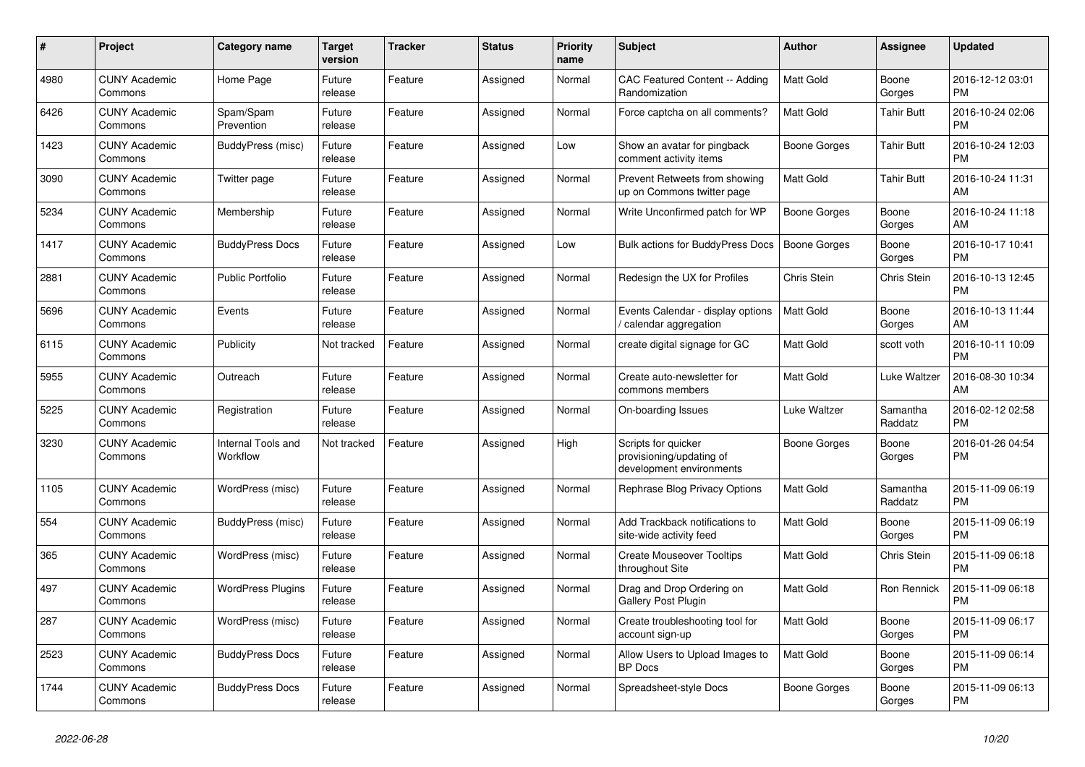| #    | Project                         | Category name                  | <b>Target</b><br>version | <b>Tracker</b> | <b>Status</b> | Priority<br>name | <b>Subject</b>                                                              | Author              | Assignee            | <b>Updated</b>                |
|------|---------------------------------|--------------------------------|--------------------------|----------------|---------------|------------------|-----------------------------------------------------------------------------|---------------------|---------------------|-------------------------------|
| 4980 | <b>CUNY Academic</b><br>Commons | Home Page                      | Future<br>release        | Feature        | Assigned      | Normal           | CAC Featured Content -- Adding<br>Randomization                             | <b>Matt Gold</b>    | Boone<br>Gorges     | 2016-12-12 03:01<br><b>PM</b> |
| 6426 | <b>CUNY Academic</b><br>Commons | Spam/Spam<br>Prevention        | Future<br>release        | Feature        | Assigned      | Normal           | Force captcha on all comments?                                              | <b>Matt Gold</b>    | <b>Tahir Butt</b>   | 2016-10-24 02:06<br><b>PM</b> |
| 1423 | <b>CUNY Academic</b><br>Commons | BuddyPress (misc)              | Future<br>release        | Feature        | Assigned      | Low              | Show an avatar for pingback<br>comment activity items                       | Boone Gorges        | Tahir Butt          | 2016-10-24 12:03<br><b>PM</b> |
| 3090 | <b>CUNY Academic</b><br>Commons | Twitter page                   | Future<br>release        | Feature        | Assigned      | Normal           | Prevent Retweets from showing<br>up on Commons twitter page                 | <b>Matt Gold</b>    | <b>Tahir Butt</b>   | 2016-10-24 11:31<br>AM        |
| 5234 | <b>CUNY Academic</b><br>Commons | Membership                     | Future<br>release        | Feature        | Assigned      | Normal           | Write Unconfirmed patch for WP                                              | <b>Boone Gorges</b> | Boone<br>Gorges     | 2016-10-24 11:18<br>AM        |
| 1417 | <b>CUNY Academic</b><br>Commons | <b>BuddyPress Docs</b>         | Future<br>release        | Feature        | Assigned      | Low              | <b>Bulk actions for BuddyPress Docs</b>                                     | <b>Boone Gorges</b> | Boone<br>Gorges     | 2016-10-17 10:41<br><b>PM</b> |
| 2881 | <b>CUNY Academic</b><br>Commons | <b>Public Portfolio</b>        | Future<br>release        | Feature        | Assigned      | Normal           | Redesign the UX for Profiles                                                | Chris Stein         | Chris Stein         | 2016-10-13 12:45<br><b>PM</b> |
| 5696 | <b>CUNY Academic</b><br>Commons | Events                         | Future<br>release        | Feature        | Assigned      | Normal           | Events Calendar - display options<br>calendar aggregation                   | <b>Matt Gold</b>    | Boone<br>Gorges     | 2016-10-13 11:44<br>AM        |
| 6115 | <b>CUNY Academic</b><br>Commons | Publicity                      | Not tracked              | Feature        | Assigned      | Normal           | create digital signage for GC                                               | Matt Gold           | scott voth          | 2016-10-11 10:09<br><b>PM</b> |
| 5955 | <b>CUNY Academic</b><br>Commons | Outreach                       | Future<br>release        | Feature        | Assigned      | Normal           | Create auto-newsletter for<br>commons members                               | <b>Matt Gold</b>    | Luke Waltzer        | 2016-08-30 10:34<br>AM        |
| 5225 | <b>CUNY Academic</b><br>Commons | Registration                   | Future<br>release        | Feature        | Assigned      | Normal           | On-boarding Issues                                                          | Luke Waltzer        | Samantha<br>Raddatz | 2016-02-12 02:58<br><b>PM</b> |
| 3230 | <b>CUNY Academic</b><br>Commons | Internal Tools and<br>Workflow | Not tracked              | Feature        | Assigned      | High             | Scripts for quicker<br>provisioning/updating of<br>development environments | Boone Gorges        | Boone<br>Gorges     | 2016-01-26 04:54<br><b>PM</b> |
| 1105 | <b>CUNY Academic</b><br>Commons | WordPress (misc)               | Future<br>release        | Feature        | Assigned      | Normal           | Rephrase Blog Privacy Options                                               | <b>Matt Gold</b>    | Samantha<br>Raddatz | 2015-11-09 06:19<br><b>PM</b> |
| 554  | <b>CUNY Academic</b><br>Commons | BuddyPress (misc)              | Future<br>release        | Feature        | Assigned      | Normal           | Add Trackback notifications to<br>site-wide activity feed                   | <b>Matt Gold</b>    | Boone<br>Gorges     | 2015-11-09 06:19<br><b>PM</b> |
| 365  | <b>CUNY Academic</b><br>Commons | WordPress (misc)               | Future<br>release        | Feature        | Assigned      | Normal           | <b>Create Mouseover Tooltips</b><br>throughout Site                         | <b>Matt Gold</b>    | Chris Stein         | 2015-11-09 06:18<br><b>PM</b> |
| 497  | <b>CUNY Academic</b><br>Commons | <b>WordPress Plugins</b>       | Future<br>release        | Feature        | Assigned      | Normal           | Drag and Drop Ordering on<br><b>Gallery Post Plugin</b>                     | <b>Matt Gold</b>    | Ron Rennick         | 2015-11-09 06:18<br><b>PM</b> |
| 287  | <b>CUNY Academic</b><br>Commons | WordPress (misc)               | Future<br>release        | Feature        | Assigned      | Normal           | Create troubleshooting tool for<br>account sign-up                          | Matt Gold           | Boone<br>Gorges     | 2015-11-09 06:17<br><b>PM</b> |
| 2523 | <b>CUNY Academic</b><br>Commons | <b>BuddyPress Docs</b>         | Future<br>release        | Feature        | Assigned      | Normal           | Allow Users to Upload Images to<br><b>BP</b> Docs                           | <b>Matt Gold</b>    | Boone<br>Gorges     | 2015-11-09 06:14<br><b>PM</b> |
| 1744 | <b>CUNY Academic</b><br>Commons | <b>BuddyPress Docs</b>         | Future<br>release        | Feature        | Assigned      | Normal           | Spreadsheet-style Docs                                                      | Boone Gorges        | Boone<br>Gorges     | 2015-11-09 06:13<br><b>PM</b> |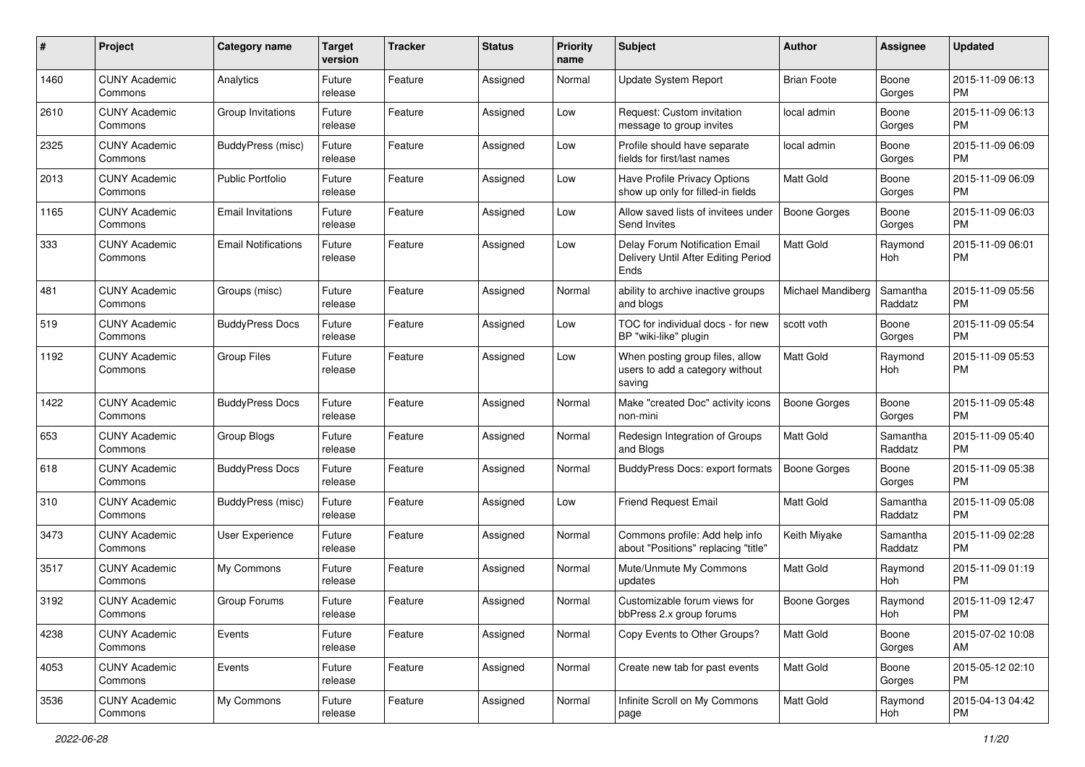| #    | Project                         | <b>Category name</b>       | <b>Target</b><br>version | <b>Tracker</b> | <b>Status</b> | <b>Priority</b><br>name | Subject                                                                       | <b>Author</b>       | <b>Assignee</b>     | <b>Updated</b>                |
|------|---------------------------------|----------------------------|--------------------------|----------------|---------------|-------------------------|-------------------------------------------------------------------------------|---------------------|---------------------|-------------------------------|
| 1460 | <b>CUNY Academic</b><br>Commons | Analytics                  | Future<br>release        | Feature        | Assigned      | Normal                  | Update System Report                                                          | <b>Brian Foote</b>  | Boone<br>Gorges     | 2015-11-09 06:13<br><b>PM</b> |
| 2610 | <b>CUNY Academic</b><br>Commons | Group Invitations          | Future<br>release        | Feature        | Assigned      | Low                     | Request: Custom invitation<br>message to group invites                        | local admin         | Boone<br>Gorges     | 2015-11-09 06:13<br>PM        |
| 2325 | <b>CUNY Academic</b><br>Commons | BuddyPress (misc)          | Future<br>release        | Feature        | Assigned      | Low                     | Profile should have separate<br>fields for first/last names                   | local admin         | Boone<br>Gorges     | 2015-11-09 06:09<br><b>PM</b> |
| 2013 | <b>CUNY Academic</b><br>Commons | <b>Public Portfolio</b>    | Future<br>release        | Feature        | Assigned      | Low                     | Have Profile Privacy Options<br>show up only for filled-in fields             | <b>Matt Gold</b>    | Boone<br>Gorges     | 2015-11-09 06:09<br><b>PM</b> |
| 1165 | <b>CUNY Academic</b><br>Commons | <b>Email Invitations</b>   | Future<br>release        | Feature        | Assigned      | Low                     | Allow saved lists of invitees under<br>Send Invites                           | <b>Boone Gorges</b> | Boone<br>Gorges     | 2015-11-09 06:03<br><b>PM</b> |
| 333  | <b>CUNY Academic</b><br>Commons | <b>Email Notifications</b> | Future<br>release        | Feature        | Assigned      | Low                     | Delay Forum Notification Email<br>Delivery Until After Editing Period<br>Ends | <b>Matt Gold</b>    | Raymond<br>Hoh      | 2015-11-09 06:01<br>PM        |
| 481  | <b>CUNY Academic</b><br>Commons | Groups (misc)              | Future<br>release        | Feature        | Assigned      | Normal                  | ability to archive inactive groups<br>and blogs                               | Michael Mandiberg   | Samantha<br>Raddatz | 2015-11-09 05:56<br><b>PM</b> |
| 519  | <b>CUNY Academic</b><br>Commons | <b>BuddyPress Docs</b>     | Future<br>release        | Feature        | Assigned      | Low                     | TOC for individual docs - for new<br>BP "wiki-like" plugin                    | scott voth          | Boone<br>Gorges     | 2015-11-09 05:54<br>PM        |
| 1192 | <b>CUNY Academic</b><br>Commons | <b>Group Files</b>         | Future<br>release        | Feature        | Assigned      | Low                     | When posting group files, allow<br>users to add a category without<br>saving  | Matt Gold           | Raymond<br>Hoh      | 2015-11-09 05:53<br>РM        |
| 1422 | <b>CUNY Academic</b><br>Commons | <b>BuddyPress Docs</b>     | Future<br>release        | Feature        | Assigned      | Normal                  | Make "created Doc" activity icons<br>non-mini                                 | <b>Boone Gorges</b> | Boone<br>Gorges     | 2015-11-09 05:48<br>РM        |
| 653  | <b>CUNY Academic</b><br>Commons | Group Blogs                | Future<br>release        | Feature        | Assigned      | Normal                  | Redesign Integration of Groups<br>and Blogs                                   | Matt Gold           | Samantha<br>Raddatz | 2015-11-09 05:40<br><b>PM</b> |
| 618  | <b>CUNY Academic</b><br>Commons | <b>BuddyPress Docs</b>     | Future<br>release        | Feature        | Assigned      | Normal                  | <b>BuddyPress Docs: export formats</b>                                        | <b>Boone Gorges</b> | Boone<br>Gorges     | 2015-11-09 05:38<br><b>PM</b> |
| 310  | <b>CUNY Academic</b><br>Commons | BuddyPress (misc)          | Future<br>release        | Feature        | Assigned      | Low                     | <b>Friend Request Email</b>                                                   | <b>Matt Gold</b>    | Samantha<br>Raddatz | 2015-11-09 05:08<br><b>PM</b> |
| 3473 | <b>CUNY Academic</b><br>Commons | User Experience            | Future<br>release        | Feature        | Assigned      | Normal                  | Commons profile: Add help info<br>about "Positions" replacing "title"         | Keith Miyake        | Samantha<br>Raddatz | 2015-11-09 02:28<br><b>PM</b> |
| 3517 | <b>CUNY Academic</b><br>Commons | My Commons                 | Future<br>release        | Feature        | Assigned      | Normal                  | Mute/Unmute My Commons<br>updates                                             | Matt Gold           | Raymond<br>Hoh      | 2015-11-09 01:19<br><b>PM</b> |
| 3192 | <b>CUNY Academic</b><br>Commons | Group Forums               | Future<br>release        | Feature        | Assigned      | Normal                  | Customizable forum views for<br>bbPress 2.x group forums                      | Boone Gorges        | Raymond<br>Hoh      | 2015-11-09 12:47<br>PM        |
| 4238 | <b>CUNY Academic</b><br>Commons | Events                     | Future<br>release        | Feature        | Assigned      | Normal                  | Copy Events to Other Groups?                                                  | Matt Gold           | Boone<br>Gorges     | 2015-07-02 10:08<br>AM        |
| 4053 | <b>CUNY Academic</b><br>Commons | Events                     | Future<br>release        | Feature        | Assigned      | Normal                  | Create new tab for past events                                                | Matt Gold           | Boone<br>Gorges     | 2015-05-12 02:10<br><b>PM</b> |
| 3536 | <b>CUNY Academic</b><br>Commons | My Commons                 | Future<br>release        | Feature        | Assigned      | Normal                  | Infinite Scroll on My Commons<br>page                                         | Matt Gold           | Raymond<br>Hoh      | 2015-04-13 04:42<br>PM        |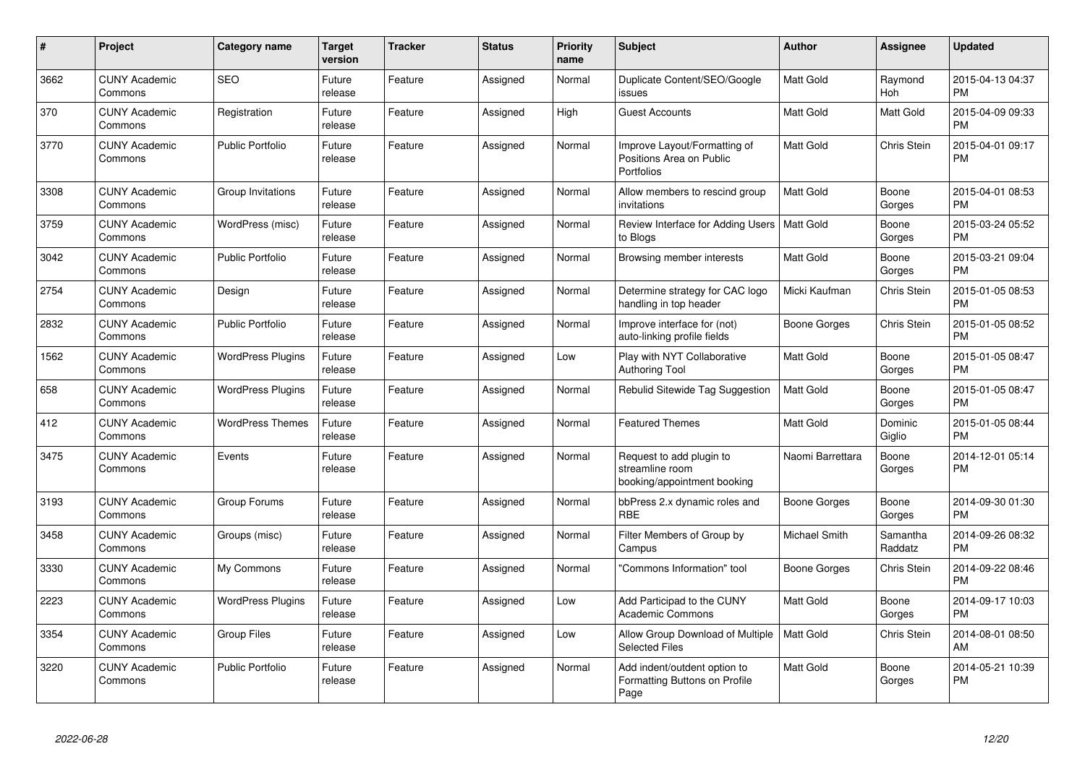| $\#$ | <b>Project</b>                  | Category name            | <b>Target</b><br>version | <b>Tracker</b> | <b>Status</b> | <b>Priority</b><br>name | <b>Subject</b>                                                             | Author           | Assignee            | <b>Updated</b>                |
|------|---------------------------------|--------------------------|--------------------------|----------------|---------------|-------------------------|----------------------------------------------------------------------------|------------------|---------------------|-------------------------------|
| 3662 | <b>CUNY Academic</b><br>Commons | <b>SEO</b>               | Future<br>release        | Feature        | Assigned      | Normal                  | Duplicate Content/SEO/Google<br>issues                                     | <b>Matt Gold</b> | Raymond<br>Hoh      | 2015-04-13 04:37<br><b>PM</b> |
| 370  | <b>CUNY Academic</b><br>Commons | Registration             | Future<br>release        | Feature        | Assigned      | High                    | <b>Guest Accounts</b>                                                      | <b>Matt Gold</b> | <b>Matt Gold</b>    | 2015-04-09 09:33<br><b>PM</b> |
| 3770 | <b>CUNY Academic</b><br>Commons | <b>Public Portfolio</b>  | Future<br>release        | Feature        | Assigned      | Normal                  | Improve Layout/Formatting of<br>Positions Area on Public<br>Portfolios     | Matt Gold        | Chris Stein         | 2015-04-01 09:17<br><b>PM</b> |
| 3308 | <b>CUNY Academic</b><br>Commons | Group Invitations        | Future<br>release        | Feature        | Assigned      | Normal                  | Allow members to rescind group<br>invitations                              | <b>Matt Gold</b> | Boone<br>Gorges     | 2015-04-01 08:53<br><b>PM</b> |
| 3759 | <b>CUNY Academic</b><br>Commons | WordPress (misc)         | Future<br>release        | Feature        | Assigned      | Normal                  | Review Interface for Adding Users   Matt Gold<br>to Blogs                  |                  | Boone<br>Gorges     | 2015-03-24 05:52<br><b>PM</b> |
| 3042 | <b>CUNY Academic</b><br>Commons | <b>Public Portfolio</b>  | Future<br>release        | Feature        | Assigned      | Normal                  | Browsing member interests                                                  | <b>Matt Gold</b> | Boone<br>Gorges     | 2015-03-21 09:04<br><b>PM</b> |
| 2754 | <b>CUNY Academic</b><br>Commons | Design                   | Future<br>release        | Feature        | Assigned      | Normal                  | Determine strategy for CAC logo<br>handling in top header                  | Micki Kaufman    | Chris Stein         | 2015-01-05 08:53<br><b>PM</b> |
| 2832 | <b>CUNY Academic</b><br>Commons | <b>Public Portfolio</b>  | Future<br>release        | Feature        | Assigned      | Normal                  | Improve interface for (not)<br>auto-linking profile fields                 | Boone Gorges     | Chris Stein         | 2015-01-05 08:52<br><b>PM</b> |
| 1562 | <b>CUNY Academic</b><br>Commons | <b>WordPress Plugins</b> | Future<br>release        | Feature        | Assigned      | Low                     | Play with NYT Collaborative<br><b>Authoring Tool</b>                       | <b>Matt Gold</b> | Boone<br>Gorges     | 2015-01-05 08:47<br><b>PM</b> |
| 658  | <b>CUNY Academic</b><br>Commons | <b>WordPress Plugins</b> | Future<br>release        | Feature        | Assigned      | Normal                  | Rebulid Sitewide Tag Suggestion                                            | <b>Matt Gold</b> | Boone<br>Gorges     | 2015-01-05 08:47<br><b>PM</b> |
| 412  | <b>CUNY Academic</b><br>Commons | <b>WordPress Themes</b>  | Future<br>release        | Feature        | Assigned      | Normal                  | <b>Featured Themes</b>                                                     | <b>Matt Gold</b> | Dominic<br>Giglio   | 2015-01-05 08:44<br><b>PM</b> |
| 3475 | <b>CUNY Academic</b><br>Commons | Events                   | Future<br>release        | Feature        | Assigned      | Normal                  | Request to add plugin to<br>streamline room<br>booking/appointment booking | Naomi Barrettara | Boone<br>Gorges     | 2014-12-01 05:14<br><b>PM</b> |
| 3193 | <b>CUNY Academic</b><br>Commons | Group Forums             | Future<br>release        | Feature        | Assigned      | Normal                  | bbPress 2.x dynamic roles and<br><b>RBE</b>                                | Boone Gorges     | Boone<br>Gorges     | 2014-09-30 01:30<br><b>PM</b> |
| 3458 | <b>CUNY Academic</b><br>Commons | Groups (misc)            | Future<br>release        | Feature        | Assigned      | Normal                  | Filter Members of Group by<br>Campus                                       | Michael Smith    | Samantha<br>Raddatz | 2014-09-26 08:32<br><b>PM</b> |
| 3330 | <b>CUNY Academic</b><br>Commons | My Commons               | Future<br>release        | Feature        | Assigned      | Normal                  | 'Commons Information" tool                                                 | Boone Gorges     | <b>Chris Stein</b>  | 2014-09-22 08:46<br><b>PM</b> |
| 2223 | <b>CUNY Academic</b><br>Commons | <b>WordPress Plugins</b> | Future<br>release        | Feature        | Assigned      | Low                     | Add Participad to the CUNY<br><b>Academic Commons</b>                      | <b>Matt Gold</b> | Boone<br>Gorges     | 2014-09-17 10:03<br><b>PM</b> |
| 3354 | <b>CUNY Academic</b><br>Commons | Group Files              | Future<br>release        | Feature        | Assigned      | Low                     | Allow Group Download of Multiple<br><b>Selected Files</b>                  | <b>Matt Gold</b> | Chris Stein         | 2014-08-01 08:50<br>AM        |
| 3220 | <b>CUNY Academic</b><br>Commons | <b>Public Portfolio</b>  | Future<br>release        | Feature        | Assigned      | Normal                  | Add indent/outdent option to<br>Formatting Buttons on Profile<br>Page      | <b>Matt Gold</b> | Boone<br>Gorges     | 2014-05-21 10:39<br><b>PM</b> |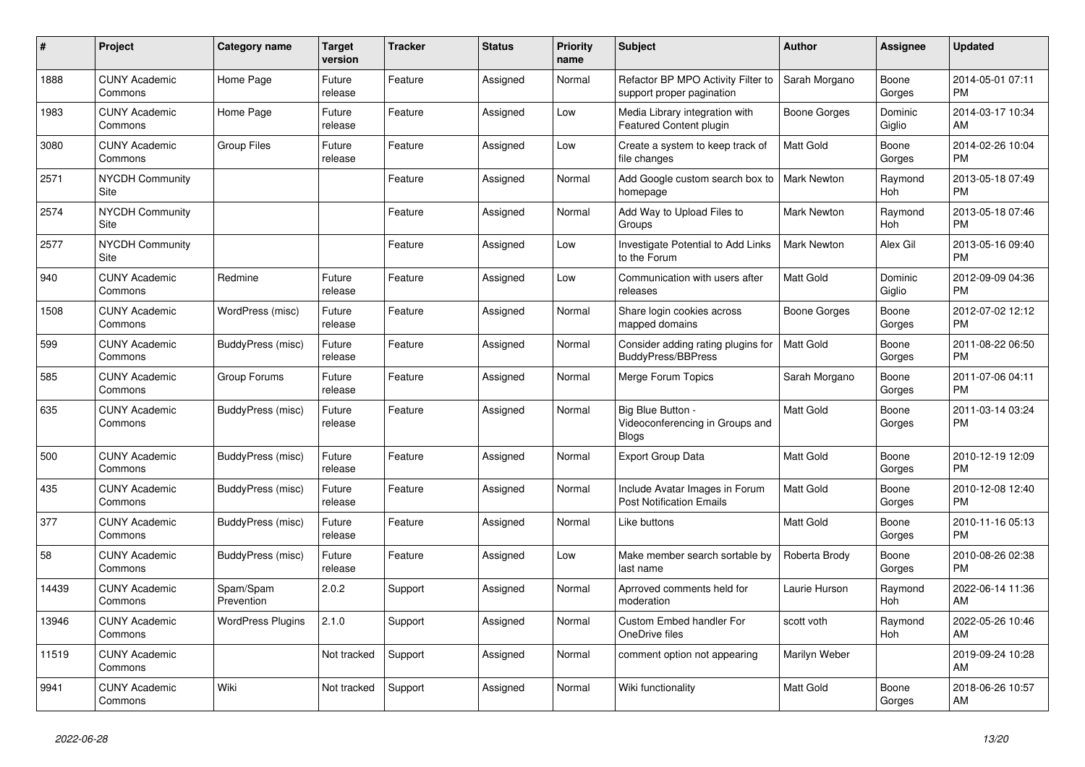| #     | <b>Project</b>                        | <b>Category name</b>     | <b>Target</b><br>version | <b>Tracker</b> | <b>Status</b> | Priority<br>name | <b>Subject</b>                                                       | <b>Author</b>      | <b>Assignee</b>   | <b>Updated</b>                |
|-------|---------------------------------------|--------------------------|--------------------------|----------------|---------------|------------------|----------------------------------------------------------------------|--------------------|-------------------|-------------------------------|
| 1888  | <b>CUNY Academic</b><br>Commons       | Home Page                | Future<br>release        | Feature        | Assigned      | Normal           | Refactor BP MPO Activity Filter to<br>support proper pagination      | Sarah Morgano      | Boone<br>Gorges   | 2014-05-01 07:11<br><b>PM</b> |
| 1983  | <b>CUNY Academic</b><br>Commons       | Home Page                | Future<br>release        | Feature        | Assigned      | Low              | Media Library integration with<br><b>Featured Content plugin</b>     | Boone Gorges       | Dominic<br>Giglio | 2014-03-17 10:34<br>AM        |
| 3080  | <b>CUNY Academic</b><br>Commons       | Group Files              | Future<br>release        | Feature        | Assigned      | Low              | Create a system to keep track of<br>file changes                     | Matt Gold          | Boone<br>Gorges   | 2014-02-26 10:04<br><b>PM</b> |
| 2571  | <b>NYCDH Community</b><br><b>Site</b> |                          |                          | Feature        | Assigned      | Normal           | Add Google custom search box to<br>homepage                          | <b>Mark Newton</b> | Raymond<br>Hoh    | 2013-05-18 07:49<br><b>PM</b> |
| 2574  | <b>NYCDH Community</b><br>Site        |                          |                          | Feature        | Assigned      | Normal           | Add Way to Upload Files to<br>Groups                                 | <b>Mark Newton</b> | Raymond<br>Hoh    | 2013-05-18 07:46<br><b>PM</b> |
| 2577  | <b>NYCDH Community</b><br>Site        |                          |                          | Feature        | Assigned      | Low              | <b>Investigate Potential to Add Links</b><br>to the Forum            | <b>Mark Newton</b> | Alex Gil          | 2013-05-16 09:40<br><b>PM</b> |
| 940   | <b>CUNY Academic</b><br>Commons       | Redmine                  | Future<br>release        | Feature        | Assigned      | Low              | Communication with users after<br>releases                           | <b>Matt Gold</b>   | Dominic<br>Giglio | 2012-09-09 04:36<br><b>PM</b> |
| 1508  | <b>CUNY Academic</b><br>Commons       | WordPress (misc)         | Future<br>release        | Feature        | Assigned      | Normal           | Share login cookies across<br>mapped domains                         | Boone Gorges       | Boone<br>Gorges   | 2012-07-02 12:12<br><b>PM</b> |
| 599   | <b>CUNY Academic</b><br>Commons       | BuddyPress (misc)        | Future<br>release        | Feature        | Assigned      | Normal           | Consider adding rating plugins for<br><b>BuddyPress/BBPress</b>      | Matt Gold          | Boone<br>Gorges   | 2011-08-22 06:50<br><b>PM</b> |
| 585   | <b>CUNY Academic</b><br>Commons       | Group Forums             | Future<br>release        | Feature        | Assigned      | Normal           | Merge Forum Topics                                                   | Sarah Morgano      | Boone<br>Gorges   | 2011-07-06 04:11<br><b>PM</b> |
| 635   | <b>CUNY Academic</b><br>Commons       | BuddyPress (misc)        | Future<br>release        | Feature        | Assigned      | Normal           | Big Blue Button -<br>Videoconferencing in Groups and<br><b>Blogs</b> | Matt Gold          | Boone<br>Gorges   | 2011-03-14 03:24<br><b>PM</b> |
| 500   | <b>CUNY Academic</b><br>Commons       | BuddyPress (misc)        | Future<br>release        | Feature        | Assigned      | Normal           | <b>Export Group Data</b>                                             | <b>Matt Gold</b>   | Boone<br>Gorges   | 2010-12-19 12:09<br><b>PM</b> |
| 435   | <b>CUNY Academic</b><br>Commons       | BuddyPress (misc)        | Future<br>release        | Feature        | Assigned      | Normal           | Include Avatar Images in Forum<br>Post Notification Emails           | Matt Gold          | Boone<br>Gorges   | 2010-12-08 12:40<br><b>PM</b> |
| 377   | <b>CUNY Academic</b><br>Commons       | BuddyPress (misc)        | Future<br>release        | Feature        | Assigned      | Normal           | Like buttons                                                         | <b>Matt Gold</b>   | Boone<br>Gorges   | 2010-11-16 05:13<br><b>PM</b> |
| 58    | <b>CUNY Academic</b><br>Commons       | BuddyPress (misc)        | Future<br>release        | Feature        | Assigned      | Low              | Make member search sortable by<br>last name                          | Roberta Brody      | Boone<br>Gorges   | 2010-08-26 02:38<br><b>PM</b> |
| 14439 | <b>CUNY Academic</b><br>Commons       | Spam/Spam<br>Prevention  | 2.0.2                    | Support        | Assigned      | Normal           | Aprroved comments held for<br>moderation                             | Laurie Hurson      | Raymond<br>Hoh    | 2022-06-14 11:36<br>AM        |
| 13946 | <b>CUNY Academic</b><br>Commons       | <b>WordPress Plugins</b> | 2.1.0                    | Support        | Assigned      | Normal           | <b>Custom Embed handler For</b><br>OneDrive files                    | scott voth         | Raymond<br>Hoh    | 2022-05-26 10:46<br>AM        |
| 11519 | <b>CUNY Academic</b><br>Commons       |                          | Not tracked              | Support        | Assigned      | Normal           | comment option not appearing                                         | Marilyn Weber      |                   | 2019-09-24 10:28<br>AM        |
| 9941  | <b>CUNY Academic</b><br>Commons       | Wiki                     | Not tracked              | Support        | Assigned      | Normal           | Wiki functionality                                                   | <b>Matt Gold</b>   | Boone<br>Gorges   | 2018-06-26 10:57<br>AM        |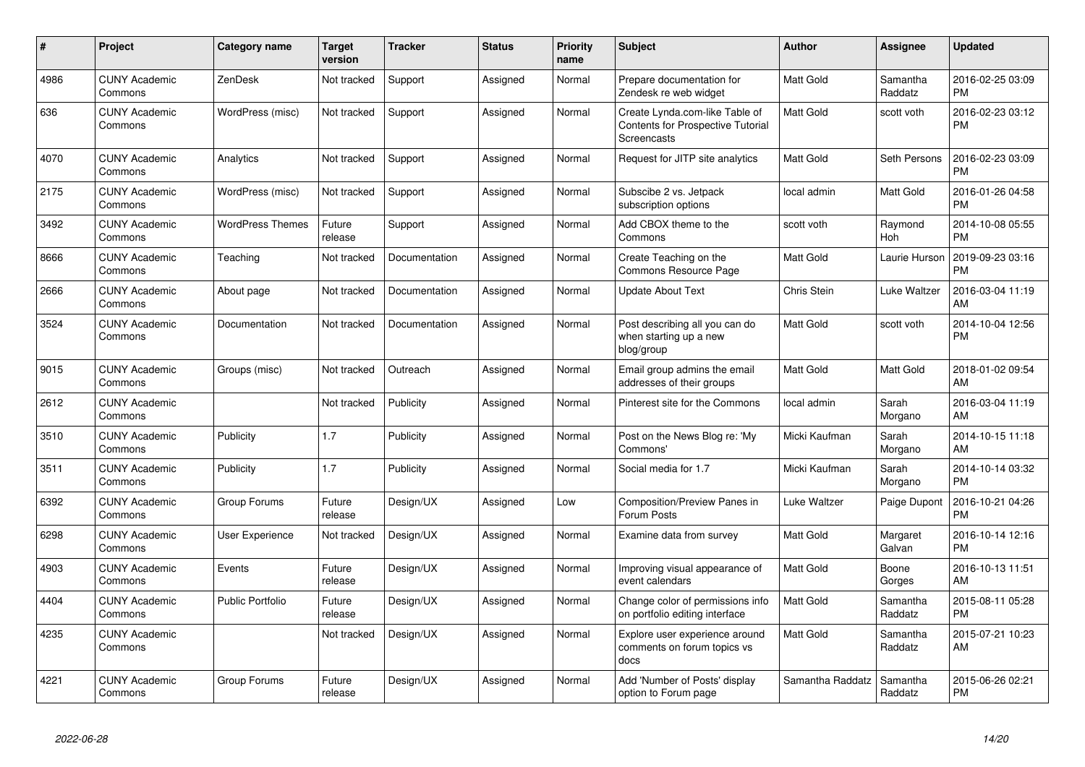| $\#$ | Project                         | <b>Category name</b>    | <b>Target</b><br>version | <b>Tracker</b> | <b>Status</b> | <b>Priority</b><br>name | <b>Subject</b>                                                                     | <b>Author</b>    | Assignee            | <b>Updated</b>                |
|------|---------------------------------|-------------------------|--------------------------|----------------|---------------|-------------------------|------------------------------------------------------------------------------------|------------------|---------------------|-------------------------------|
| 4986 | <b>CUNY Academic</b><br>Commons | ZenDesk                 | Not tracked              | Support        | Assigned      | Normal                  | Prepare documentation for<br>Zendesk re web widget                                 | Matt Gold        | Samantha<br>Raddatz | 2016-02-25 03:09<br><b>PM</b> |
| 636  | <b>CUNY Academic</b><br>Commons | WordPress (misc)        | Not tracked              | Support        | Assigned      | Normal                  | Create Lynda.com-like Table of<br>Contents for Prospective Tutorial<br>Screencasts | Matt Gold        | scott voth          | 2016-02-23 03:12<br><b>PM</b> |
| 4070 | <b>CUNY Academic</b><br>Commons | Analytics               | Not tracked              | Support        | Assigned      | Normal                  | Request for JITP site analytics                                                    | Matt Gold        | Seth Persons        | 2016-02-23 03:09<br><b>PM</b> |
| 2175 | <b>CUNY Academic</b><br>Commons | WordPress (misc)        | Not tracked              | Support        | Assigned      | Normal                  | Subscibe 2 vs. Jetpack<br>subscription options                                     | local admin      | Matt Gold           | 2016-01-26 04:58<br><b>PM</b> |
| 3492 | <b>CUNY Academic</b><br>Commons | <b>WordPress Themes</b> | Future<br>release        | Support        | Assigned      | Normal                  | Add CBOX theme to the<br>Commons                                                   | scott voth       | Raymond<br>Hoh      | 2014-10-08 05:55<br><b>PM</b> |
| 8666 | <b>CUNY Academic</b><br>Commons | Teaching                | Not tracked              | Documentation  | Assigned      | Normal                  | Create Teaching on the<br>Commons Resource Page                                    | Matt Gold        | Laurie Hurson       | 2019-09-23 03:16<br><b>PM</b> |
| 2666 | <b>CUNY Academic</b><br>Commons | About page              | Not tracked              | Documentation  | Assigned      | Normal                  | <b>Update About Text</b>                                                           | Chris Stein      | Luke Waltzer        | 2016-03-04 11:19<br>AM        |
| 3524 | <b>CUNY Academic</b><br>Commons | Documentation           | Not tracked              | Documentation  | Assigned      | Normal                  | Post describing all you can do<br>when starting up a new<br>blog/group             | Matt Gold        | scott voth          | 2014-10-04 12:56<br><b>PM</b> |
| 9015 | <b>CUNY Academic</b><br>Commons | Groups (misc)           | Not tracked              | Outreach       | Assigned      | Normal                  | Email group admins the email<br>addresses of their groups                          | Matt Gold        | Matt Gold           | 2018-01-02 09:54<br>AM        |
| 2612 | <b>CUNY Academic</b><br>Commons |                         | Not tracked              | Publicity      | Assigned      | Normal                  | Pinterest site for the Commons                                                     | local admin      | Sarah<br>Morgano    | 2016-03-04 11:19<br>AM        |
| 3510 | <b>CUNY Academic</b><br>Commons | Publicity               | 1.7                      | Publicity      | Assigned      | Normal                  | Post on the News Blog re: 'My<br>Commons'                                          | Micki Kaufman    | Sarah<br>Morgano    | 2014-10-15 11:18<br>AM        |
| 3511 | <b>CUNY Academic</b><br>Commons | Publicity               | 1.7                      | Publicity      | Assigned      | Normal                  | Social media for 1.7                                                               | Micki Kaufman    | Sarah<br>Morgano    | 2014-10-14 03:32<br><b>PM</b> |
| 6392 | <b>CUNY Academic</b><br>Commons | Group Forums            | Future<br>release        | Design/UX      | Assigned      | Low                     | Composition/Preview Panes in<br>Forum Posts                                        | Luke Waltzer     | Paige Dupont        | 2016-10-21 04:26<br><b>PM</b> |
| 6298 | <b>CUNY Academic</b><br>Commons | User Experience         | Not tracked              | Design/UX      | Assigned      | Normal                  | Examine data from survey                                                           | Matt Gold        | Margaret<br>Galvan  | 2016-10-14 12:16<br><b>PM</b> |
| 4903 | <b>CUNY Academic</b><br>Commons | Events                  | Future<br>release        | Design/UX      | Assigned      | Normal                  | Improving visual appearance of<br>event calendars                                  | <b>Matt Gold</b> | Boone<br>Gorges     | 2016-10-13 11:51<br>AM        |
| 4404 | <b>CUNY Academic</b><br>Commons | <b>Public Portfolio</b> | Future<br>release        | Design/UX      | Assigned      | Normal                  | Change color of permissions info<br>on portfolio editing interface                 | Matt Gold        | Samantha<br>Raddatz | 2015-08-11 05:28<br><b>PM</b> |
| 4235 | <b>CUNY Academic</b><br>Commons |                         | Not tracked              | Design/UX      | Assigned      | Normal                  | Explore user experience around<br>comments on forum topics vs<br>docs              | Matt Gold        | Samantha<br>Raddatz | 2015-07-21 10:23<br>AM        |
| 4221 | <b>CUNY Academic</b><br>Commons | Group Forums            | Future<br>release        | Design/UX      | Assigned      | Normal                  | Add 'Number of Posts' display<br>option to Forum page                              | Samantha Raddatz | Samantha<br>Raddatz | 2015-06-26 02:21<br><b>PM</b> |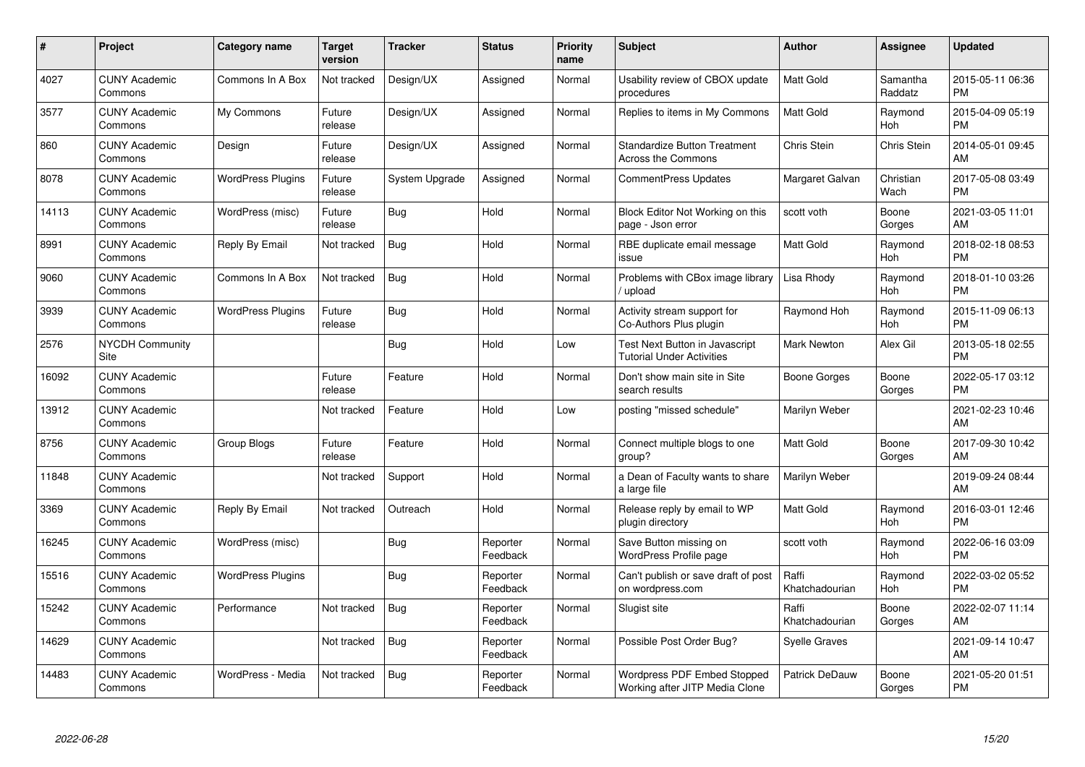| $\#$  | Project                         | <b>Category name</b>     | <b>Target</b><br>version | <b>Tracker</b> | <b>Status</b>        | <b>Priority</b><br>name | <b>Subject</b>                                                     | <b>Author</b>           | <b>Assignee</b>       | <b>Updated</b>                |
|-------|---------------------------------|--------------------------|--------------------------|----------------|----------------------|-------------------------|--------------------------------------------------------------------|-------------------------|-----------------------|-------------------------------|
| 4027  | <b>CUNY Academic</b><br>Commons | Commons In A Box         | Not tracked              | Design/UX      | Assigned             | Normal                  | Usability review of CBOX update<br>procedures                      | <b>Matt Gold</b>        | Samantha<br>Raddatz   | 2015-05-11 06:36<br><b>PM</b> |
| 3577  | <b>CUNY Academic</b><br>Commons | My Commons               | Future<br>release        | Design/UX      | Assigned             | Normal                  | Replies to items in My Commons                                     | <b>Matt Gold</b>        | Raymond<br>Hoh        | 2015-04-09 05:19<br><b>PM</b> |
| 860   | <b>CUNY Academic</b><br>Commons | Design                   | Future<br>release        | Design/UX      | Assigned             | Normal                  | <b>Standardize Button Treatment</b><br>Across the Commons          | Chris Stein             | Chris Stein           | 2014-05-01 09:45<br>AM        |
| 8078  | <b>CUNY Academic</b><br>Commons | <b>WordPress Plugins</b> | Future<br>release        | System Upgrade | Assigned             | Normal                  | <b>CommentPress Updates</b>                                        | Margaret Galvan         | Christian<br>Wach     | 2017-05-08 03:49<br><b>PM</b> |
| 14113 | <b>CUNY Academic</b><br>Commons | WordPress (misc)         | Future<br>release        | Bug            | Hold                 | Normal                  | Block Editor Not Working on this<br>page - Json error              | scott voth              | Boone<br>Gorges       | 2021-03-05 11:01<br>AM        |
| 8991  | <b>CUNY Academic</b><br>Commons | Reply By Email           | Not tracked              | Bug            | Hold                 | Normal                  | RBE duplicate email message<br>issue                               | Matt Gold               | Raymond<br>Hoh        | 2018-02-18 08:53<br><b>PM</b> |
| 9060  | <b>CUNY Academic</b><br>Commons | Commons In A Box         | Not tracked              | <b>Bug</b>     | Hold                 | Normal                  | Problems with CBox image library<br>upload                         | Lisa Rhody              | Raymond<br>Hoh        | 2018-01-10 03:26<br><b>PM</b> |
| 3939  | <b>CUNY Academic</b><br>Commons | <b>WordPress Plugins</b> | Future<br>release        | Bug            | Hold                 | Normal                  | Activity stream support for<br>Co-Authors Plus plugin              | Raymond Hoh             | Raymond<br><b>Hoh</b> | 2015-11-09 06:13<br><b>PM</b> |
| 2576  | <b>NYCDH Community</b><br>Site  |                          |                          | <b>Bug</b>     | Hold                 | Low                     | Test Next Button in Javascript<br><b>Tutorial Under Activities</b> | <b>Mark Newton</b>      | Alex Gil              | 2013-05-18 02:55<br><b>PM</b> |
| 16092 | <b>CUNY Academic</b><br>Commons |                          | Future<br>release        | Feature        | Hold                 | Normal                  | Don't show main site in Site<br>search results                     | Boone Gorges            | Boone<br>Gorges       | 2022-05-17 03:12<br><b>PM</b> |
| 13912 | <b>CUNY Academic</b><br>Commons |                          | Not tracked              | Feature        | Hold                 | Low                     | posting "missed schedule"                                          | Marilyn Weber           |                       | 2021-02-23 10:46<br>AM        |
| 8756  | <b>CUNY Academic</b><br>Commons | Group Blogs              | Future<br>release        | Feature        | Hold                 | Normal                  | Connect multiple blogs to one<br>group?                            | <b>Matt Gold</b>        | Boone<br>Gorges       | 2017-09-30 10:42<br>AM        |
| 11848 | <b>CUNY Academic</b><br>Commons |                          | Not tracked              | Support        | Hold                 | Normal                  | a Dean of Faculty wants to share<br>a large file                   | Marilyn Weber           |                       | 2019-09-24 08:44<br>AM        |
| 3369  | <b>CUNY Academic</b><br>Commons | Reply By Email           | Not tracked              | Outreach       | Hold                 | Normal                  | Release reply by email to WP<br>plugin directory                   | Matt Gold               | Raymond<br>Hoh        | 2016-03-01 12:46<br><b>PM</b> |
| 16245 | <b>CUNY Academic</b><br>Commons | WordPress (misc)         |                          | <b>Bug</b>     | Reporter<br>Feedback | Normal                  | Save Button missing on<br>WordPress Profile page                   | scott voth              | Raymond<br>Hoh        | 2022-06-16 03:09<br><b>PM</b> |
| 15516 | <b>CUNY Academic</b><br>Commons | <b>WordPress Plugins</b> |                          | Bug            | Reporter<br>Feedback | Normal                  | Can't publish or save draft of post<br>on wordpress.com            | Raffi<br>Khatchadourian | Raymond<br>Hoh        | 2022-03-02 05:52<br><b>PM</b> |
| 15242 | <b>CUNY Academic</b><br>Commons | Performance              | Not tracked              | <b>Bug</b>     | Reporter<br>Feedback | Normal                  | Slugist site                                                       | Raffi<br>Khatchadourian | Boone<br>Gorges       | 2022-02-07 11:14<br>AM        |
| 14629 | <b>CUNY Academic</b><br>Commons |                          | Not tracked              | <b>Bug</b>     | Reporter<br>Feedback | Normal                  | Possible Post Order Bug?                                           | <b>Syelle Graves</b>    |                       | 2021-09-14 10:47<br>AM        |
| 14483 | <b>CUNY Academic</b><br>Commons | WordPress - Media        | Not tracked              | <b>Bug</b>     | Reporter<br>Feedback | Normal                  | Wordpress PDF Embed Stopped<br>Working after JITP Media Clone      | Patrick DeDauw          | Boone<br>Gorges       | 2021-05-20 01:51<br><b>PM</b> |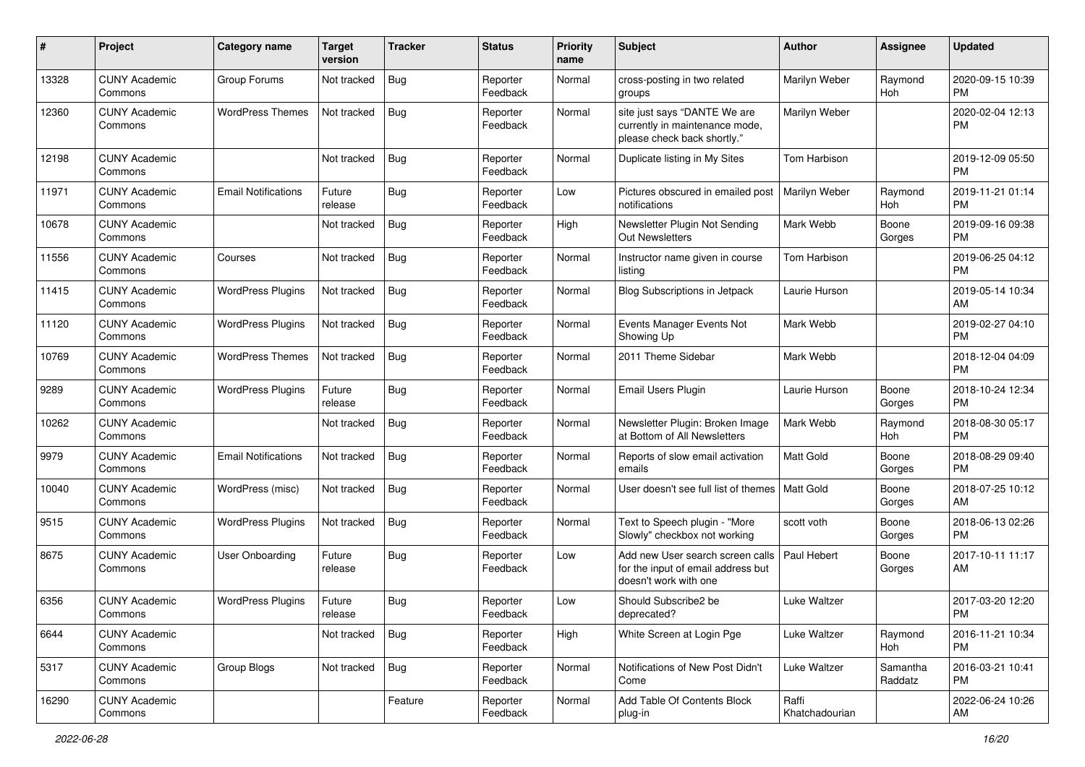| #     | Project                         | <b>Category name</b>       | <b>Target</b><br>version | <b>Tracker</b> | <b>Status</b>        | <b>Priority</b><br>name | Subject                                                                                         | Author                  | <b>Assignee</b>     | <b>Updated</b>                |
|-------|---------------------------------|----------------------------|--------------------------|----------------|----------------------|-------------------------|-------------------------------------------------------------------------------------------------|-------------------------|---------------------|-------------------------------|
| 13328 | <b>CUNY Academic</b><br>Commons | Group Forums               | Not tracked              | <b>Bug</b>     | Reporter<br>Feedback | Normal                  | cross-posting in two related<br>groups                                                          | Marilyn Weber           | Raymond<br>Hoh      | 2020-09-15 10:39<br><b>PM</b> |
| 12360 | <b>CUNY Academic</b><br>Commons | <b>WordPress Themes</b>    | Not tracked              | <b>Bug</b>     | Reporter<br>Feedback | Normal                  | site just says "DANTE We are<br>currently in maintenance mode,<br>please check back shortly."   | Marilyn Weber           |                     | 2020-02-04 12:13<br><b>PM</b> |
| 12198 | <b>CUNY Academic</b><br>Commons |                            | Not tracked              | <b>Bug</b>     | Reporter<br>Feedback | Normal                  | Duplicate listing in My Sites                                                                   | Tom Harbison            |                     | 2019-12-09 05:50<br><b>PM</b> |
| 11971 | <b>CUNY Academic</b><br>Commons | <b>Email Notifications</b> | Future<br>release        | <b>Bug</b>     | Reporter<br>Feedback | Low                     | Pictures obscured in emailed post<br>notifications                                              | Marilyn Weber           | Raymond<br>Hoh      | 2019-11-21 01:14<br><b>PM</b> |
| 10678 | <b>CUNY Academic</b><br>Commons |                            | Not tracked              | Bug            | Reporter<br>Feedback | High                    | Newsletter Plugin Not Sending<br><b>Out Newsletters</b>                                         | Mark Webb               | Boone<br>Gorges     | 2019-09-16 09:38<br><b>PM</b> |
| 11556 | <b>CUNY Academic</b><br>Commons | Courses                    | Not tracked              | <b>Bug</b>     | Reporter<br>Feedback | Normal                  | Instructor name given in course<br>listing                                                      | Tom Harbison            |                     | 2019-06-25 04:12<br><b>PM</b> |
| 11415 | <b>CUNY Academic</b><br>Commons | <b>WordPress Plugins</b>   | Not tracked              | <b>Bug</b>     | Reporter<br>Feedback | Normal                  | Blog Subscriptions in Jetpack                                                                   | Laurie Hurson           |                     | 2019-05-14 10:34<br>AM        |
| 11120 | <b>CUNY Academic</b><br>Commons | <b>WordPress Plugins</b>   | Not tracked              | <b>Bug</b>     | Reporter<br>Feedback | Normal                  | Events Manager Events Not<br>Showing Up                                                         | Mark Webb               |                     | 2019-02-27 04:10<br><b>PM</b> |
| 10769 | <b>CUNY Academic</b><br>Commons | <b>WordPress Themes</b>    | Not tracked              | <b>Bug</b>     | Reporter<br>Feedback | Normal                  | 2011 Theme Sidebar                                                                              | Mark Webb               |                     | 2018-12-04 04:09<br><b>PM</b> |
| 9289  | <b>CUNY Academic</b><br>Commons | <b>WordPress Plugins</b>   | Future<br>release        | <b>Bug</b>     | Reporter<br>Feedback | Normal                  | <b>Email Users Plugin</b>                                                                       | Laurie Hurson           | Boone<br>Gorges     | 2018-10-24 12:34<br><b>PM</b> |
| 10262 | <b>CUNY Academic</b><br>Commons |                            | Not tracked              | <b>Bug</b>     | Reporter<br>Feedback | Normal                  | Newsletter Plugin: Broken Image<br>at Bottom of All Newsletters                                 | Mark Webb               | Raymond<br>Hoh      | 2018-08-30 05:17<br><b>PM</b> |
| 9979  | <b>CUNY Academic</b><br>Commons | <b>Email Notifications</b> | Not tracked              | Bug            | Reporter<br>Feedback | Normal                  | Reports of slow email activation<br>emails                                                      | Matt Gold               | Boone<br>Gorges     | 2018-08-29 09:40<br><b>PM</b> |
| 10040 | <b>CUNY Academic</b><br>Commons | WordPress (misc)           | Not tracked              | <b>Bug</b>     | Reporter<br>Feedback | Normal                  | User doesn't see full list of themes   Matt Gold                                                |                         | Boone<br>Gorges     | 2018-07-25 10:12<br>AM        |
| 9515  | <b>CUNY Academic</b><br>Commons | <b>WordPress Plugins</b>   | Not tracked              | <b>Bug</b>     | Reporter<br>Feedback | Normal                  | Text to Speech plugin - "More<br>Slowly" checkbox not working                                   | scott voth              | Boone<br>Gorges     | 2018-06-13 02:26<br><b>PM</b> |
| 8675  | <b>CUNY Academic</b><br>Commons | <b>User Onboarding</b>     | Future<br>release        | <b>Bug</b>     | Reporter<br>Feedback | Low                     | Add new User search screen calls<br>for the input of email address but<br>doesn't work with one | Paul Hebert             | Boone<br>Gorges     | 2017-10-11 11:17<br>AM        |
| 6356  | <b>CUNY Academic</b><br>Commons | <b>WordPress Plugins</b>   | Future<br>release        | <b>Bug</b>     | Reporter<br>Feedback | Low                     | Should Subscribe2 be<br>deprecated?                                                             | <b>Luke Waltzer</b>     |                     | 2017-03-20 12:20<br>PM        |
| 6644  | <b>CUNY Academic</b><br>Commons |                            | Not tracked              | <b>Bug</b>     | Reporter<br>Feedback | High                    | White Screen at Login Pge                                                                       | Luke Waltzer            | Raymond<br>Hoh      | 2016-11-21 10:34<br><b>PM</b> |
| 5317  | <b>CUNY Academic</b><br>Commons | Group Blogs                | Not tracked              | Bug            | Reporter<br>Feedback | Normal                  | Notifications of New Post Didn't<br>Come                                                        | Luke Waltzer            | Samantha<br>Raddatz | 2016-03-21 10:41<br><b>PM</b> |
| 16290 | <b>CUNY Academic</b><br>Commons |                            |                          | Feature        | Reporter<br>Feedback | Normal                  | Add Table Of Contents Block<br>plug-in                                                          | Raffi<br>Khatchadourian |                     | 2022-06-24 10:26<br>AM        |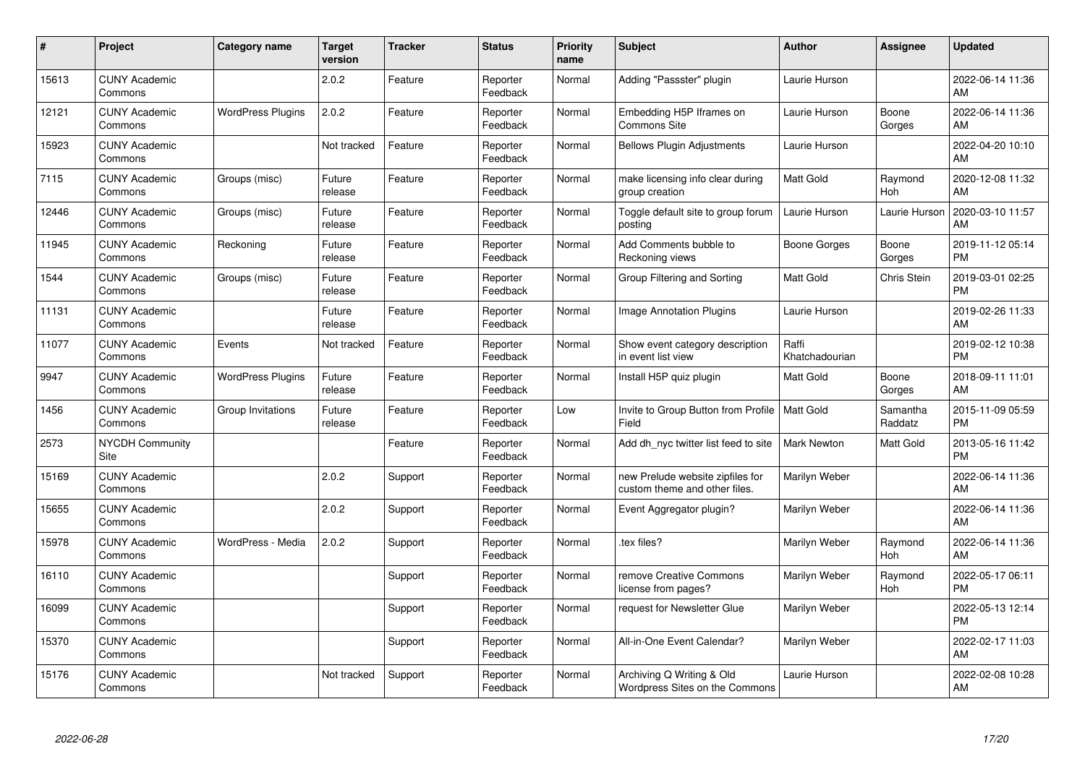| #     | Project                         | <b>Category name</b>     | <b>Target</b><br>version | <b>Tracker</b> | <b>Status</b>        | <b>Priority</b><br>name | <b>Subject</b>                                                    | <b>Author</b>           | <b>Assignee</b>       | <b>Updated</b>                |
|-------|---------------------------------|--------------------------|--------------------------|----------------|----------------------|-------------------------|-------------------------------------------------------------------|-------------------------|-----------------------|-------------------------------|
| 15613 | <b>CUNY Academic</b><br>Commons |                          | 2.0.2                    | Feature        | Reporter<br>Feedback | Normal                  | Adding "Passster" plugin                                          | Laurie Hurson           |                       | 2022-06-14 11:36<br>AM        |
| 12121 | <b>CUNY Academic</b><br>Commons | <b>WordPress Plugins</b> | 2.0.2                    | Feature        | Reporter<br>Feedback | Normal                  | Embedding H5P Iframes on<br><b>Commons Site</b>                   | Laurie Hurson           | Boone<br>Gorges       | 2022-06-14 11:36<br>AM        |
| 15923 | <b>CUNY Academic</b><br>Commons |                          | Not tracked              | Feature        | Reporter<br>Feedback | Normal                  | <b>Bellows Plugin Adjustments</b>                                 | Laurie Hurson           |                       | 2022-04-20 10:10<br>AM        |
| 7115  | <b>CUNY Academic</b><br>Commons | Groups (misc)            | Future<br>release        | Feature        | Reporter<br>Feedback | Normal                  | make licensing info clear during<br>group creation                | <b>Matt Gold</b>        | Raymond<br><b>Hoh</b> | 2020-12-08 11:32<br>AM        |
| 12446 | <b>CUNY Academic</b><br>Commons | Groups (misc)            | Future<br>release        | Feature        | Reporter<br>Feedback | Normal                  | Toggle default site to group forum<br>posting                     | Laurie Hurson           | Laurie Hurson         | 2020-03-10 11:57<br>AM        |
| 11945 | <b>CUNY Academic</b><br>Commons | Reckoning                | Future<br>release        | Feature        | Reporter<br>Feedback | Normal                  | Add Comments bubble to<br>Reckoning views                         | Boone Gorges            | Boone<br>Gorges       | 2019-11-12 05:14<br><b>PM</b> |
| 1544  | <b>CUNY Academic</b><br>Commons | Groups (misc)            | Future<br>release        | Feature        | Reporter<br>Feedback | Normal                  | Group Filtering and Sorting                                       | Matt Gold               | Chris Stein           | 2019-03-01 02:25<br><b>PM</b> |
| 11131 | <b>CUNY Academic</b><br>Commons |                          | Future<br>release        | Feature        | Reporter<br>Feedback | Normal                  | <b>Image Annotation Plugins</b>                                   | Laurie Hurson           |                       | 2019-02-26 11:33<br>AM        |
| 11077 | <b>CUNY Academic</b><br>Commons | Events                   | Not tracked              | Feature        | Reporter<br>Feedback | Normal                  | Show event category description<br>in event list view             | Raffi<br>Khatchadourian |                       | 2019-02-12 10:38<br><b>PM</b> |
| 9947  | <b>CUNY Academic</b><br>Commons | <b>WordPress Plugins</b> | Future<br>release        | Feature        | Reporter<br>Feedback | Normal                  | Install H5P quiz plugin                                           | <b>Matt Gold</b>        | Boone<br>Gorges       | 2018-09-11 11:01<br>AM        |
| 1456  | <b>CUNY Academic</b><br>Commons | Group Invitations        | Future<br>release        | Feature        | Reporter<br>Feedback | Low                     | Invite to Group Button from Profile<br>Field                      | <b>Matt Gold</b>        | Samantha<br>Raddatz   | 2015-11-09 05:59<br><b>PM</b> |
| 2573  | <b>NYCDH Community</b><br>Site  |                          |                          | Feature        | Reporter<br>Feedback | Normal                  | Add dh_nyc twitter list feed to site                              | <b>Mark Newton</b>      | Matt Gold             | 2013-05-16 11:42<br><b>PM</b> |
| 15169 | <b>CUNY Academic</b><br>Commons |                          | 2.0.2                    | Support        | Reporter<br>Feedback | Normal                  | new Prelude website zipfiles for<br>custom theme and other files. | Marilyn Weber           |                       | 2022-06-14 11:36<br>AM        |
| 15655 | <b>CUNY Academic</b><br>Commons |                          | 2.0.2                    | Support        | Reporter<br>Feedback | Normal                  | Event Aggregator plugin?                                          | Marilyn Weber           |                       | 2022-06-14 11:36<br>AM        |
| 15978 | <b>CUNY Academic</b><br>Commons | WordPress - Media        | 2.0.2                    | Support        | Reporter<br>Feedback | Normal                  | tex files?                                                        | Marilyn Weber           | Raymond<br>Hoh        | 2022-06-14 11:36<br>AM        |
| 16110 | <b>CUNY Academic</b><br>Commons |                          |                          | Support        | Reporter<br>Feedback | Normal                  | remove Creative Commons<br>license from pages?                    | Marilyn Weber           | Raymond<br>Hoh        | 2022-05-17 06:11<br><b>PM</b> |
| 16099 | <b>CUNY Academic</b><br>Commons |                          |                          | Support        | Reporter<br>Feedback | Normal                  | request for Newsletter Glue                                       | Marilyn Weber           |                       | 2022-05-13 12:14<br><b>PM</b> |
| 15370 | <b>CUNY Academic</b><br>Commons |                          |                          | Support        | Reporter<br>Feedback | Normal                  | All-in-One Event Calendar?                                        | Marilyn Weber           |                       | 2022-02-17 11:03<br>AM        |
| 15176 | <b>CUNY Academic</b><br>Commons |                          | Not tracked              | Support        | Reporter<br>Feedback | Normal                  | Archiving Q Writing & Old<br>Wordpress Sites on the Commons       | Laurie Hurson           |                       | 2022-02-08 10:28<br>AM        |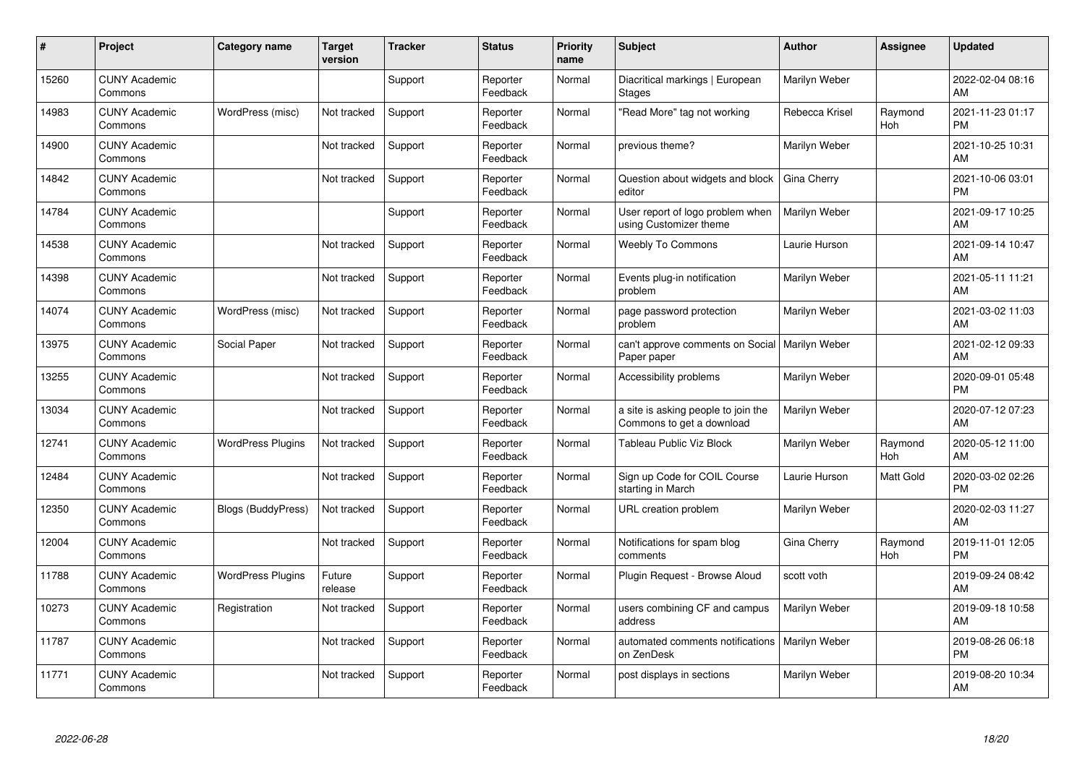| $\#$  | Project                         | <b>Category name</b>      | <b>Target</b><br>version | <b>Tracker</b> | <b>Status</b>        | <b>Priority</b><br>name | <b>Subject</b>                                                   | <b>Author</b>  | <b>Assignee</b>       | <b>Updated</b>                |
|-------|---------------------------------|---------------------------|--------------------------|----------------|----------------------|-------------------------|------------------------------------------------------------------|----------------|-----------------------|-------------------------------|
| 15260 | <b>CUNY Academic</b><br>Commons |                           |                          | Support        | Reporter<br>Feedback | Normal                  | Diacritical markings   European<br><b>Stages</b>                 | Marilyn Weber  |                       | 2022-02-04 08:16<br>AM        |
| 14983 | <b>CUNY Academic</b><br>Commons | WordPress (misc)          | Not tracked              | Support        | Reporter<br>Feedback | Normal                  | 'Read More" tag not working                                      | Rebecca Krisel | Raymond<br><b>Hoh</b> | 2021-11-23 01:17<br><b>PM</b> |
| 14900 | <b>CUNY Academic</b><br>Commons |                           | Not tracked              | Support        | Reporter<br>Feedback | Normal                  | previous theme?                                                  | Marilyn Weber  |                       | 2021-10-25 10:31<br>AM        |
| 14842 | <b>CUNY Academic</b><br>Commons |                           | Not tracked              | Support        | Reporter<br>Feedback | Normal                  | Question about widgets and block<br>editor                       | Gina Cherry    |                       | 2021-10-06 03:01<br><b>PM</b> |
| 14784 | <b>CUNY Academic</b><br>Commons |                           |                          | Support        | Reporter<br>Feedback | Normal                  | User report of logo problem when<br>using Customizer theme       | Marilyn Weber  |                       | 2021-09-17 10:25<br>AM        |
| 14538 | <b>CUNY Academic</b><br>Commons |                           | Not tracked              | Support        | Reporter<br>Feedback | Normal                  | <b>Weebly To Commons</b>                                         | Laurie Hurson  |                       | 2021-09-14 10:47<br>AM        |
| 14398 | <b>CUNY Academic</b><br>Commons |                           | Not tracked              | Support        | Reporter<br>Feedback | Normal                  | Events plug-in notification<br>problem                           | Marilyn Weber  |                       | 2021-05-11 11:21<br>AM        |
| 14074 | <b>CUNY Academic</b><br>Commons | WordPress (misc)          | Not tracked              | Support        | Reporter<br>Feedback | Normal                  | page password protection<br>problem                              | Marilyn Weber  |                       | 2021-03-02 11:03<br>AM        |
| 13975 | <b>CUNY Academic</b><br>Commons | Social Paper              | Not tracked              | Support        | Reporter<br>Feedback | Normal                  | can't approve comments on Social   Marilyn Weber<br>Paper paper  |                |                       | 2021-02-12 09:33<br>AM        |
| 13255 | <b>CUNY Academic</b><br>Commons |                           | Not tracked              | Support        | Reporter<br>Feedback | Normal                  | Accessibility problems                                           | Marilyn Weber  |                       | 2020-09-01 05:48<br><b>PM</b> |
| 13034 | <b>CUNY Academic</b><br>Commons |                           | Not tracked              | Support        | Reporter<br>Feedback | Normal                  | a site is asking people to join the<br>Commons to get a download | Marilyn Weber  |                       | 2020-07-12 07:23<br>AM        |
| 12741 | <b>CUNY Academic</b><br>Commons | <b>WordPress Plugins</b>  | Not tracked              | Support        | Reporter<br>Feedback | Normal                  | <b>Tableau Public Viz Block</b>                                  | Marilyn Weber  | Raymond<br><b>Hoh</b> | 2020-05-12 11:00<br>AM        |
| 12484 | <b>CUNY Academic</b><br>Commons |                           | Not tracked              | Support        | Reporter<br>Feedback | Normal                  | Sign up Code for COIL Course<br>starting in March                | Laurie Hurson  | <b>Matt Gold</b>      | 2020-03-02 02:26<br><b>PM</b> |
| 12350 | <b>CUNY Academic</b><br>Commons | <b>Blogs (BuddyPress)</b> | Not tracked              | Support        | Reporter<br>Feedback | Normal                  | URL creation problem                                             | Marilyn Weber  |                       | 2020-02-03 11:27<br>AM        |
| 12004 | <b>CUNY Academic</b><br>Commons |                           | Not tracked              | Support        | Reporter<br>Feedback | Normal                  | Notifications for spam blog<br>comments                          | Gina Cherry    | Raymond<br>Hoh        | 2019-11-01 12:05<br><b>PM</b> |
| 11788 | <b>CUNY Academic</b><br>Commons | <b>WordPress Plugins</b>  | Future<br>release        | Support        | Reporter<br>Feedback | Normal                  | Plugin Request - Browse Aloud                                    | scott voth     |                       | 2019-09-24 08:42<br>AM        |
| 10273 | <b>CUNY Academic</b><br>Commons | Registration              | Not tracked              | Support        | Reporter<br>Feedback | Normal                  | users combining CF and campus<br>address                         | Marilyn Weber  |                       | 2019-09-18 10:58<br>AM        |
| 11787 | <b>CUNY Academic</b><br>Commons |                           | Not tracked              | Support        | Reporter<br>Feedback | Normal                  | automated comments notifications<br>on ZenDesk                   | Marilyn Weber  |                       | 2019-08-26 06:18<br><b>PM</b> |
| 11771 | <b>CUNY Academic</b><br>Commons |                           | Not tracked              | Support        | Reporter<br>Feedback | Normal                  | post displays in sections                                        | Marilyn Weber  |                       | 2019-08-20 10:34<br>AM        |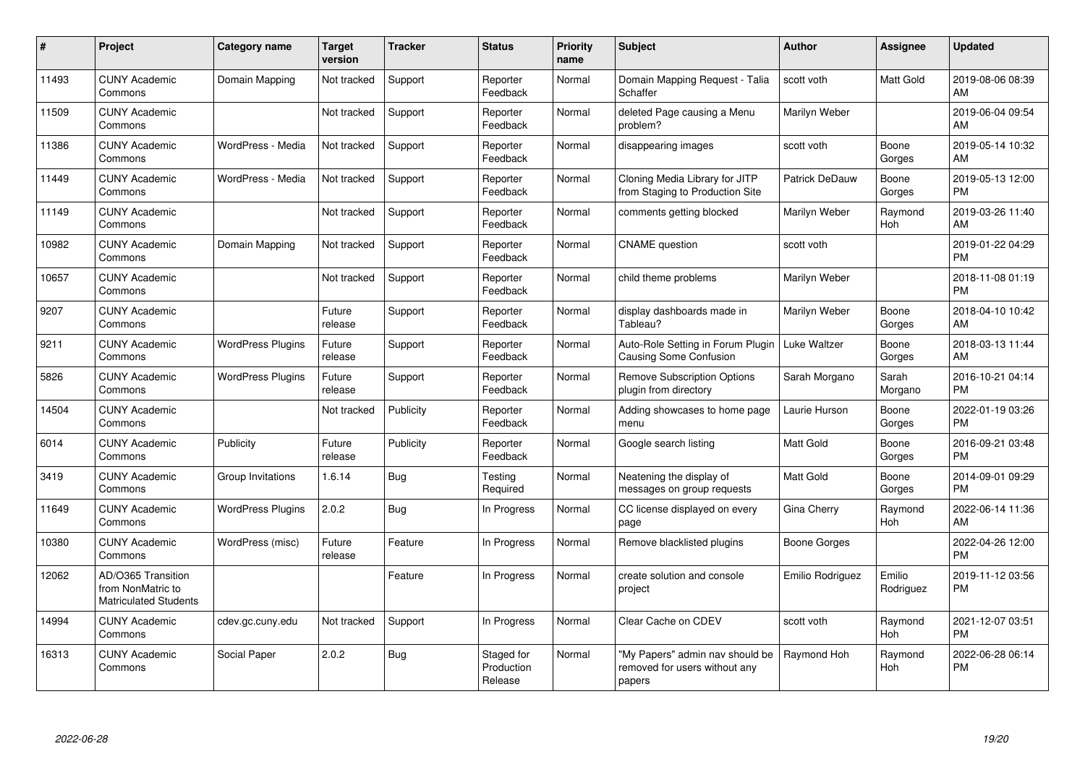| #     | Project                                                                 | Category name            | <b>Target</b><br>version | <b>Tracker</b> | <b>Status</b>                       | <b>Priority</b><br>name | <b>Subject</b>                                                             | <b>Author</b>         | <b>Assignee</b>     | <b>Updated</b>                |
|-------|-------------------------------------------------------------------------|--------------------------|--------------------------|----------------|-------------------------------------|-------------------------|----------------------------------------------------------------------------|-----------------------|---------------------|-------------------------------|
| 11493 | <b>CUNY Academic</b><br>Commons                                         | Domain Mapping           | Not tracked              | Support        | Reporter<br>Feedback                | Normal                  | Domain Mapping Request - Talia<br>Schaffer                                 | scott voth            | <b>Matt Gold</b>    | 2019-08-06 08:39<br>AM        |
| 11509 | <b>CUNY Academic</b><br>Commons                                         |                          | Not tracked              | Support        | Reporter<br>Feedback                | Normal                  | deleted Page causing a Menu<br>problem?                                    | Marilyn Weber         |                     | 2019-06-04 09:54<br>AM        |
| 11386 | <b>CUNY Academic</b><br>Commons                                         | WordPress - Media        | Not tracked              | Support        | Reporter<br>Feedback                | Normal                  | disappearing images                                                        | scott voth            | Boone<br>Gorges     | 2019-05-14 10:32<br>AM        |
| 11449 | <b>CUNY Academic</b><br>Commons                                         | WordPress - Media        | Not tracked              | Support        | Reporter<br>Feedback                | Normal                  | Cloning Media Library for JITP<br>from Staging to Production Site          | <b>Patrick DeDauw</b> | Boone<br>Gorges     | 2019-05-13 12:00<br><b>PM</b> |
| 11149 | <b>CUNY Academic</b><br>Commons                                         |                          | Not tracked              | Support        | Reporter<br>Feedback                | Normal                  | comments getting blocked                                                   | Marilyn Weber         | Raymond<br>Hoh      | 2019-03-26 11:40<br>AM        |
| 10982 | <b>CUNY Academic</b><br>Commons                                         | Domain Mapping           | Not tracked              | Support        | Reporter<br>Feedback                | Normal                  | <b>CNAME</b> question                                                      | scott voth            |                     | 2019-01-22 04:29<br><b>PM</b> |
| 10657 | <b>CUNY Academic</b><br>Commons                                         |                          | Not tracked              | Support        | Reporter<br>Feedback                | Normal                  | child theme problems                                                       | Marilyn Weber         |                     | 2018-11-08 01:19<br>PM        |
| 9207  | <b>CUNY Academic</b><br>Commons                                         |                          | Future<br>release        | Support        | Reporter<br>Feedback                | Normal                  | display dashboards made in<br>Tableau?                                     | Marilyn Weber         | Boone<br>Gorges     | 2018-04-10 10:42<br>AM        |
| 9211  | <b>CUNY Academic</b><br>Commons                                         | <b>WordPress Plugins</b> | Future<br>release        | Support        | Reporter<br>Feedback                | Normal                  | Auto-Role Setting in Forum Plugin<br>Causing Some Confusion                | <b>Luke Waltzer</b>   | Boone<br>Gorges     | 2018-03-13 11:44<br>AM        |
| 5826  | <b>CUNY Academic</b><br>Commons                                         | <b>WordPress Plugins</b> | Future<br>release        | Support        | Reporter<br>Feedback                | Normal                  | <b>Remove Subscription Options</b><br>plugin from directory                | Sarah Morgano         | Sarah<br>Morgano    | 2016-10-21 04:14<br><b>PM</b> |
| 14504 | <b>CUNY Academic</b><br>Commons                                         |                          | Not tracked              | Publicity      | Reporter<br>Feedback                | Normal                  | Adding showcases to home page<br>menu                                      | Laurie Hurson         | Boone<br>Gorges     | 2022-01-19 03:26<br><b>PM</b> |
| 6014  | <b>CUNY Academic</b><br>Commons                                         | Publicity                | Future<br>release        | Publicity      | Reporter<br>Feedback                | Normal                  | Google search listing                                                      | <b>Matt Gold</b>      | Boone<br>Gorges     | 2016-09-21 03:48<br><b>PM</b> |
| 3419  | <b>CUNY Academic</b><br>Commons                                         | Group Invitations        | 1.6.14                   | Bug            | Testing<br>Required                 | Normal                  | Neatening the display of<br>messages on group requests                     | Matt Gold             | Boone<br>Gorges     | 2014-09-01 09:29<br><b>PM</b> |
| 11649 | <b>CUNY Academic</b><br>Commons                                         | <b>WordPress Plugins</b> | 2.0.2                    | Bug            | In Progress                         | Normal                  | CC license displayed on every<br>page                                      | Gina Cherry           | Raymond<br>Hoh      | 2022-06-14 11:36<br>AM        |
| 10380 | <b>CUNY Academic</b><br>Commons                                         | WordPress (misc)         | Future<br>release        | Feature        | In Progress                         | Normal                  | Remove blacklisted plugins                                                 | Boone Gorges          |                     | 2022-04-26 12:00<br><b>PM</b> |
| 12062 | AD/O365 Transition<br>from NonMatric to<br><b>Matriculated Students</b> |                          |                          | Feature        | In Progress                         | Normal                  | create solution and console<br>project                                     | Emilio Rodriguez      | Emilio<br>Rodriguez | 2019-11-12 03:56<br><b>PM</b> |
| 14994 | <b>CUNY Academic</b><br>Commons                                         | cdev.gc.cuny.edu         | Not tracked              | Support        | In Progress                         | Normal                  | Clear Cache on CDEV                                                        | scott voth            | Raymond<br>Hoh      | 2021-12-07 03:51<br><b>PM</b> |
| 16313 | <b>CUNY Academic</b><br>Commons                                         | Social Paper             | 2.0.2                    | Bug            | Staged for<br>Production<br>Release | Normal                  | "My Papers" admin nav should be<br>removed for users without any<br>papers | Raymond Hoh           | Raymond<br>Hoh      | 2022-06-28 06:14<br><b>PM</b> |